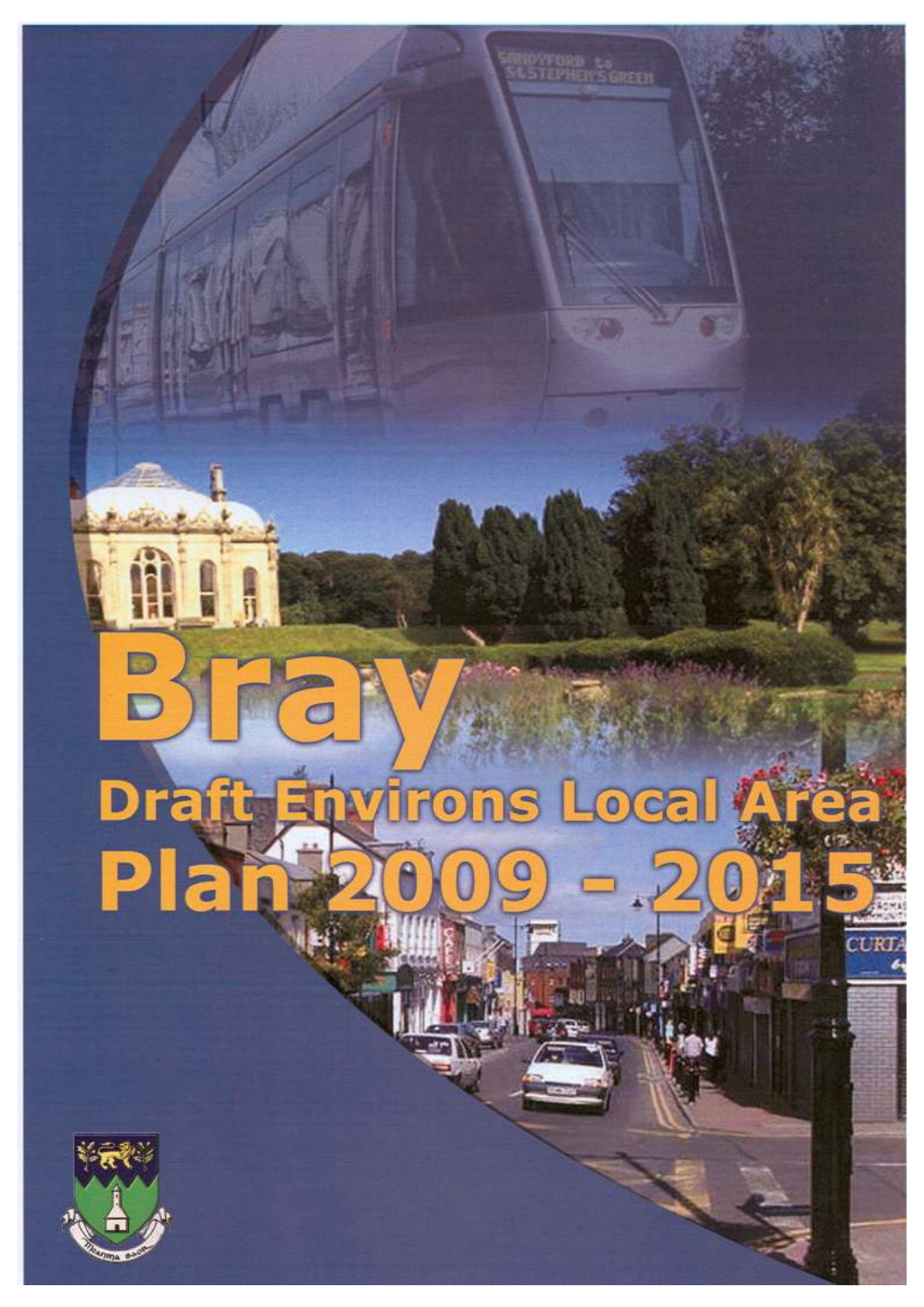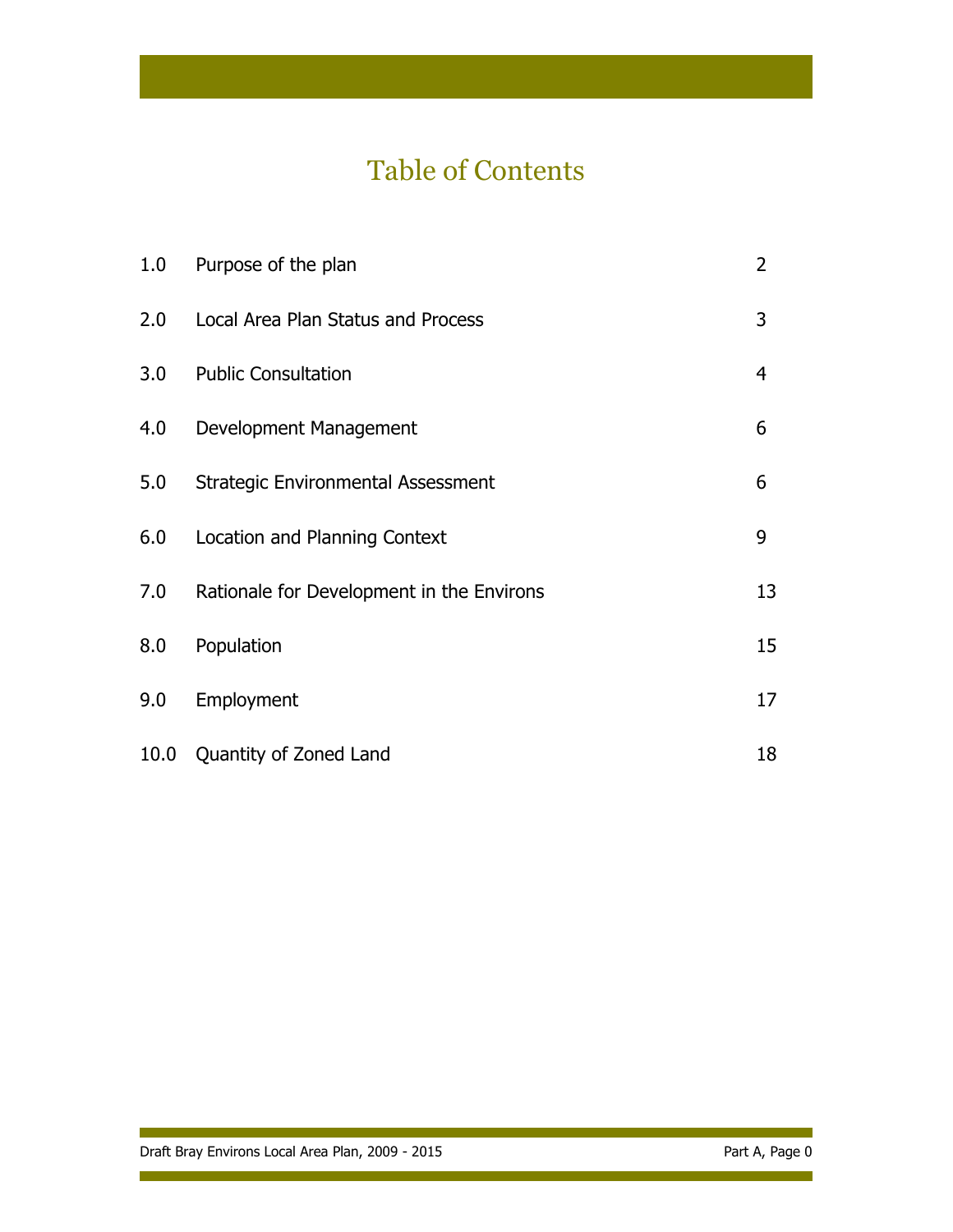# Table of Contents

| 1.0  | Purpose of the plan                       | 2              |
|------|-------------------------------------------|----------------|
| 2.0  | Local Area Plan Status and Process        | 3              |
| 3.0  | <b>Public Consultation</b>                | $\overline{4}$ |
| 4.0  | Development Management                    | 6              |
| 5.0  | <b>Strategic Environmental Assessment</b> | 6              |
| 6.0  | Location and Planning Context             | 9              |
| 7.0  | Rationale for Development in the Environs | 13             |
| 8.0  | Population                                | 15             |
| 9.0  | Employment                                | 17             |
| 10.0 | Quantity of Zoned Land                    | 18             |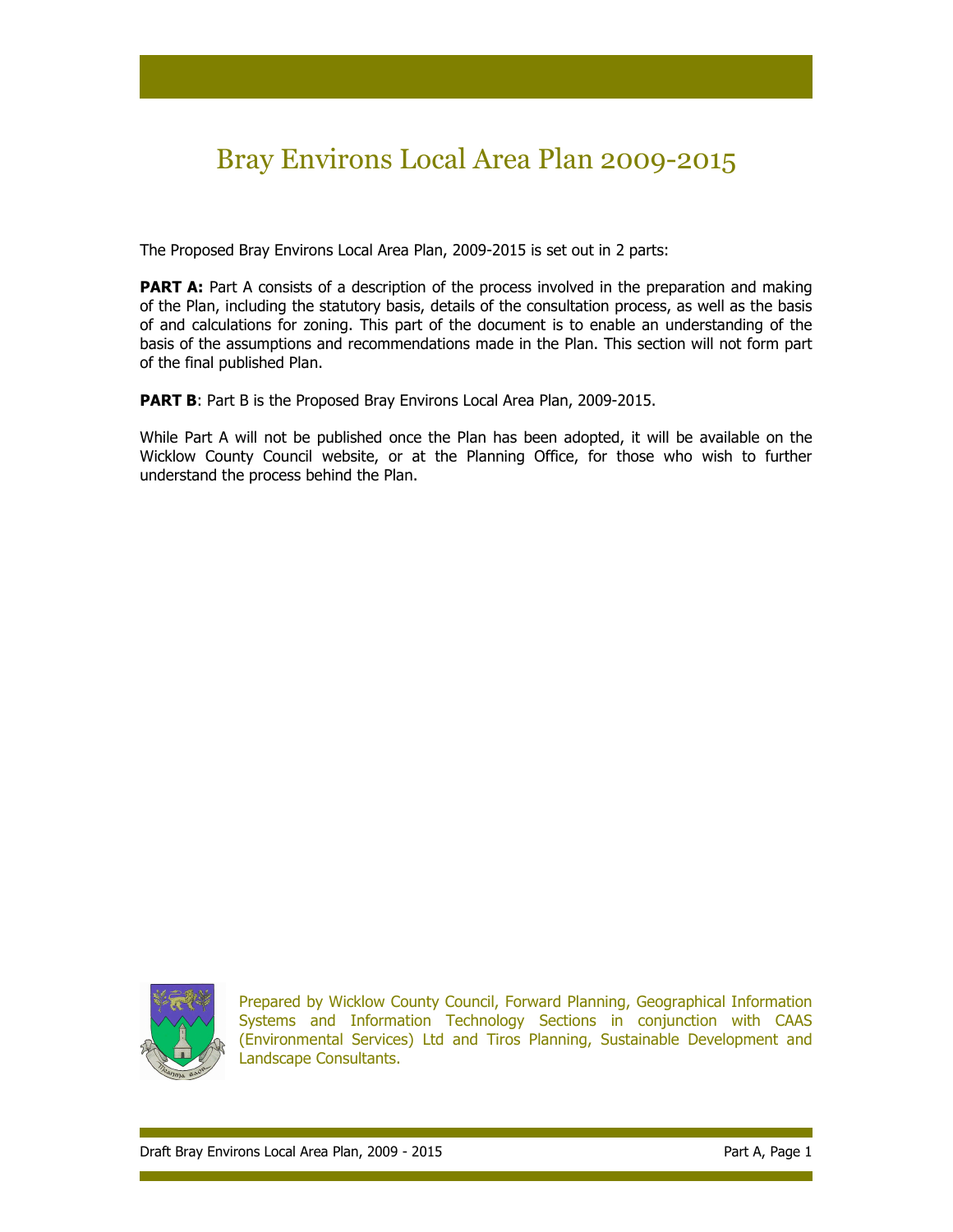# Bray Environs Local Area Plan 2009-2015

The Proposed Bray Environs Local Area Plan, 2009-2015 is set out in 2 parts:

**PART A:** Part A consists of a description of the process involved in the preparation and making of the Plan, including the statutory basis, details of the consultation process, as well as the basis of and calculations for zoning. This part of the document is to enable an understanding of the basis of the assumptions and recommendations made in the Plan. This section will not form part of the final published Plan.

PART B: Part B is the Proposed Bray Environs Local Area Plan, 2009-2015.

While Part A will not be published once the Plan has been adopted, it will be available on the Wicklow County Council website, or at the Planning Office, for those who wish to further understand the process behind the Plan.



Prepared by Wicklow County Council, Forward Planning, Geographical Information Systems and Information Technology Sections in conjunction with CAAS (Environmental Services) Ltd and Tiros Planning, Sustainable Development and Landscape Consultants.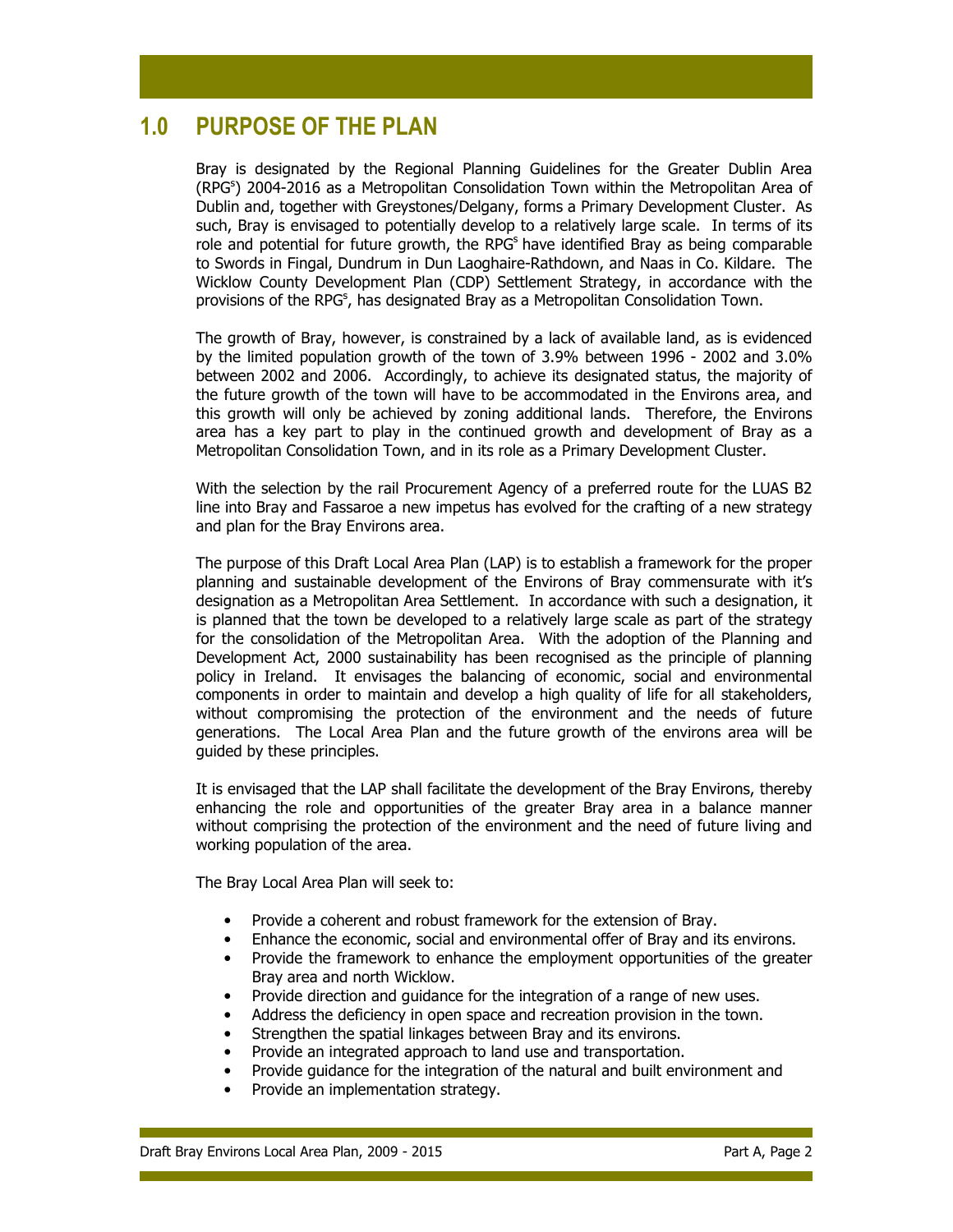# 1.0 PURPOSE OF THE PLAN

Bray is designated by the Regional Planning Guidelines for the Greater Dublin Area (RPG<sup>s</sup>) 2004-2016 as a Metropolitan Consolidation Town within the Metropolitan Area of Dublin and, together with Greystones/Delgany, forms a Primary Development Cluster. As such, Bray is envisaged to potentially develop to a relatively large scale. In terms of its role and potential for future growth, the RPG<sup>s</sup> have identified Bray as being comparable to Swords in Fingal, Dundrum in Dun Laoghaire-Rathdown, and Naas in Co. Kildare. The Wicklow County Development Plan (CDP) Settlement Strategy, in accordance with the provisions of the RPG<sup>s</sup>, has designated Bray as a Metropolitan Consolidation Town.

The growth of Bray, however, is constrained by a lack of available land, as is evidenced by the limited population growth of the town of 3.9% between 1996 - 2002 and 3.0% between 2002 and 2006. Accordingly, to achieve its designated status, the majority of the future growth of the town will have to be accommodated in the Environs area, and this growth will only be achieved by zoning additional lands. Therefore, the Environs area has a key part to play in the continued growth and development of Bray as a Metropolitan Consolidation Town, and in its role as a Primary Development Cluster.

With the selection by the rail Procurement Agency of a preferred route for the LUAS B2 line into Bray and Fassaroe a new impetus has evolved for the crafting of a new strategy and plan for the Bray Environs area.

The purpose of this Draft Local Area Plan (LAP) is to establish a framework for the proper planning and sustainable development of the Environs of Bray commensurate with it's designation as a Metropolitan Area Settlement. In accordance with such a designation, it is planned that the town be developed to a relatively large scale as part of the strategy for the consolidation of the Metropolitan Area. With the adoption of the Planning and Development Act, 2000 sustainability has been recognised as the principle of planning policy in Ireland. It envisages the balancing of economic, social and environmental components in order to maintain and develop a high quality of life for all stakeholders, without compromising the protection of the environment and the needs of future generations. The Local Area Plan and the future growth of the environs area will be guided by these principles.

It is envisaged that the LAP shall facilitate the development of the Bray Environs, thereby enhancing the role and opportunities of the greater Bray area in a balance manner without comprising the protection of the environment and the need of future living and working population of the area.

The Bray Local Area Plan will seek to:

- Provide a coherent and robust framework for the extension of Bray.
- Enhance the economic, social and environmental offer of Bray and its environs.
- Provide the framework to enhance the employment opportunities of the greater Bray area and north Wicklow.
- Provide direction and guidance for the integration of a range of new uses.
- Address the deficiency in open space and recreation provision in the town.
- Strengthen the spatial linkages between Bray and its environs.
- Provide an integrated approach to land use and transportation.
- Provide guidance for the integration of the natural and built environment and
- Provide an implementation strategy.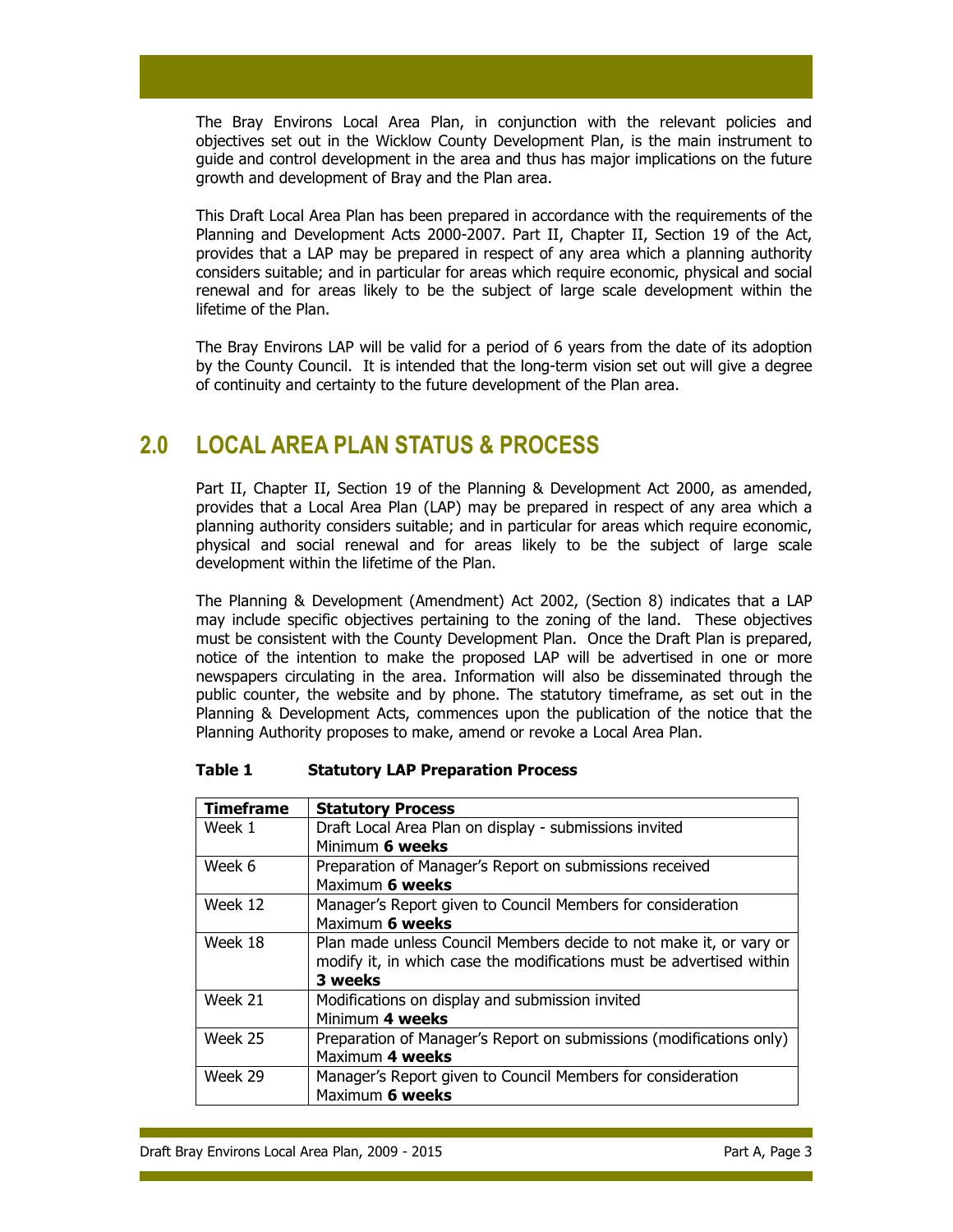The Bray Environs Local Area Plan, in conjunction with the relevant policies and objectives set out in the Wicklow County Development Plan, is the main instrument to guide and control development in the area and thus has major implications on the future growth and development of Bray and the Plan area.

This Draft Local Area Plan has been prepared in accordance with the requirements of the Planning and Development Acts 2000-2007. Part II, Chapter II, Section 19 of the Act, provides that a LAP may be prepared in respect of any area which a planning authority considers suitable; and in particular for areas which require economic, physical and social renewal and for areas likely to be the subject of large scale development within the lifetime of the Plan.

The Bray Environs LAP will be valid for a period of 6 years from the date of its adoption by the County Council. It is intended that the long-term vision set out will give a degree of continuity and certainty to the future development of the Plan area.

# 2.0 LOCAL AREA PLAN STATUS & PROCESS

Part II, Chapter II, Section 19 of the Planning & Development Act 2000, as amended, provides that a Local Area Plan (LAP) may be prepared in respect of any area which a planning authority considers suitable; and in particular for areas which require economic, physical and social renewal and for areas likely to be the subject of large scale development within the lifetime of the Plan.

The Planning & Development (Amendment) Act 2002, (Section 8) indicates that a LAP may include specific objectives pertaining to the zoning of the land. These objectives must be consistent with the County Development Plan. Once the Draft Plan is prepared, notice of the intention to make the proposed LAP will be advertised in one or more newspapers circulating in the area. Information will also be disseminated through the public counter, the website and by phone. The statutory timeframe, as set out in the Planning & Development Acts, commences upon the publication of the notice that the Planning Authority proposes to make, amend or revoke a Local Area Plan.

| <b>Timeframe</b>                                                     | <b>Statutory Process</b>                                            |  |  |  |
|----------------------------------------------------------------------|---------------------------------------------------------------------|--|--|--|
| Week 1                                                               | Draft Local Area Plan on display - submissions invited              |  |  |  |
|                                                                      | Minimum 6 weeks                                                     |  |  |  |
| Week 6                                                               | Preparation of Manager's Report on submissions received             |  |  |  |
|                                                                      | Maximum 6 weeks                                                     |  |  |  |
| Week 12                                                              | Manager's Report given to Council Members for consideration         |  |  |  |
|                                                                      | Maximum 6 weeks                                                     |  |  |  |
| Week 18                                                              | Plan made unless Council Members decide to not make it, or vary or  |  |  |  |
| modify it, in which case the modifications must be advertised within |                                                                     |  |  |  |
|                                                                      | 3 weeks                                                             |  |  |  |
| Week 21                                                              | Modifications on display and submission invited                     |  |  |  |
|                                                                      | Minimum 4 weeks                                                     |  |  |  |
| Week 25                                                              | Preparation of Manager's Report on submissions (modifications only) |  |  |  |
|                                                                      | Maximum 4 weeks                                                     |  |  |  |
| Week 29                                                              | Manager's Report given to Council Members for consideration         |  |  |  |
|                                                                      | Maximum 6 weeks                                                     |  |  |  |

# Table 1 Statutory LAP Preparation Process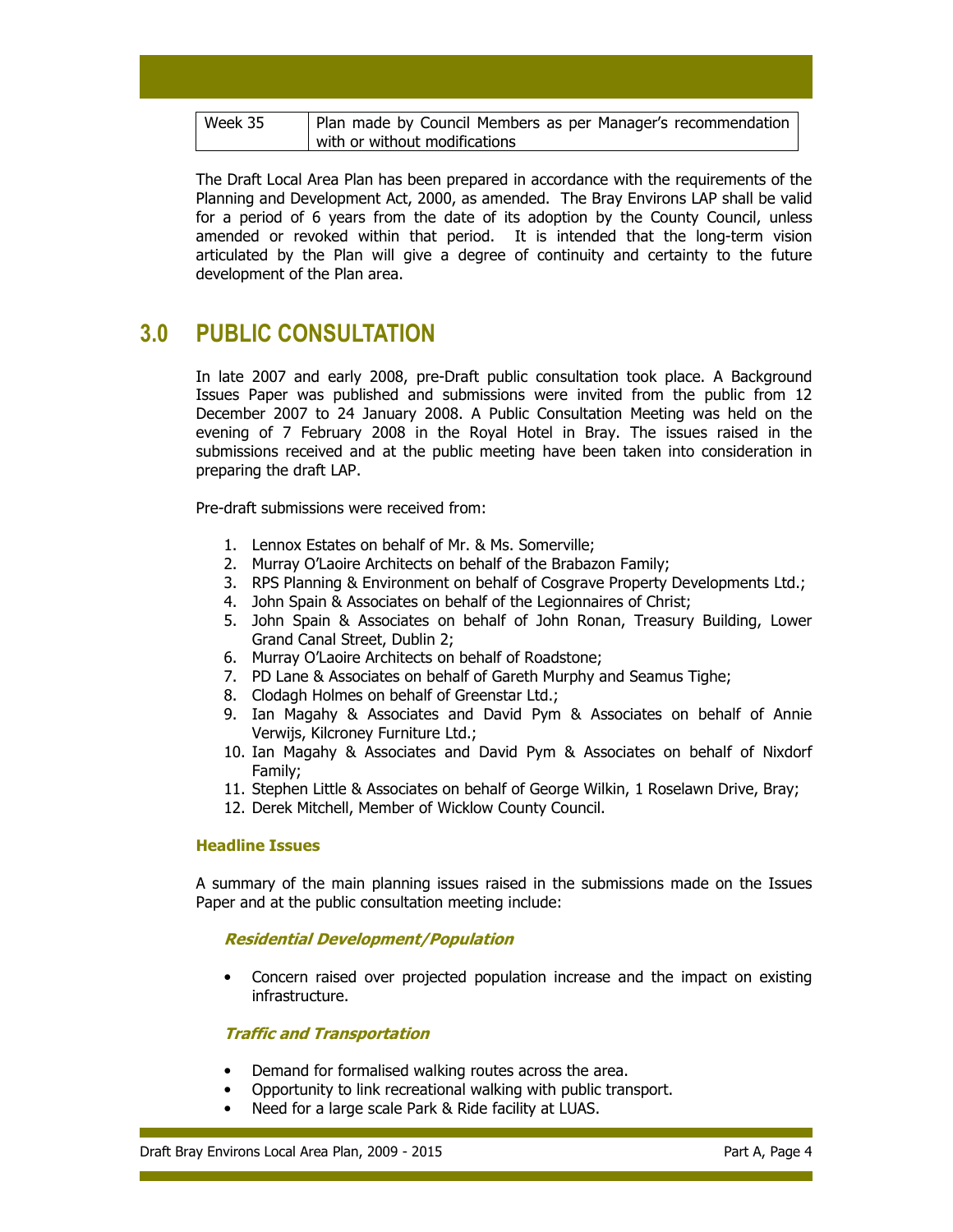| Week 35 | Plan made by Council Members as per Manager's recommendation |
|---------|--------------------------------------------------------------|
|         | with or without modifications                                |

The Draft Local Area Plan has been prepared in accordance with the requirements of the Planning and Development Act, 2000, as amended. The Bray Environs LAP shall be valid for a period of 6 years from the date of its adoption by the County Council, unless amended or revoked within that period. It is intended that the long-term vision articulated by the Plan will give a degree of continuity and certainty to the future development of the Plan area.

# 3.0 PUBLIC CONSULTATION

In late 2007 and early 2008, pre-Draft public consultation took place. A Background Issues Paper was published and submissions were invited from the public from 12 December 2007 to 24 January 2008. A Public Consultation Meeting was held on the evening of 7 February 2008 in the Royal Hotel in Bray. The issues raised in the submissions received and at the public meeting have been taken into consideration in preparing the draft LAP.

Pre-draft submissions were received from:

- 1. Lennox Estates on behalf of Mr. & Ms. Somerville;
- 2. Murray O'Laoire Architects on behalf of the Brabazon Family;
- 3. RPS Planning & Environment on behalf of Cosgrave Property Developments Ltd.;
- 4. John Spain & Associates on behalf of the Legionnaires of Christ;
- 5. John Spain & Associates on behalf of John Ronan, Treasury Building, Lower Grand Canal Street, Dublin 2;
- 6. Murray O'Laoire Architects on behalf of Roadstone;
- 7. PD Lane & Associates on behalf of Gareth Murphy and Seamus Tighe;
- 8. Clodagh Holmes on behalf of Greenstar Ltd.;
- 9. Ian Magahy & Associates and David Pym & Associates on behalf of Annie Verwijs, Kilcroney Furniture Ltd.;
- 10. Ian Magahy & Associates and David Pym & Associates on behalf of Nixdorf Family;
- 11. Stephen Little & Associates on behalf of George Wilkin, 1 Roselawn Drive, Bray;
- 12. Derek Mitchell, Member of Wicklow County Council.

### Headline Issues

A summary of the main planning issues raised in the submissions made on the Issues Paper and at the public consultation meeting include:

### Residential Development/Population

• Concern raised over projected population increase and the impact on existing infrastructure.

## Traffic and Transportation

- Demand for formalised walking routes across the area.
- Opportunity to link recreational walking with public transport.
- Need for a large scale Park & Ride facility at LUAS.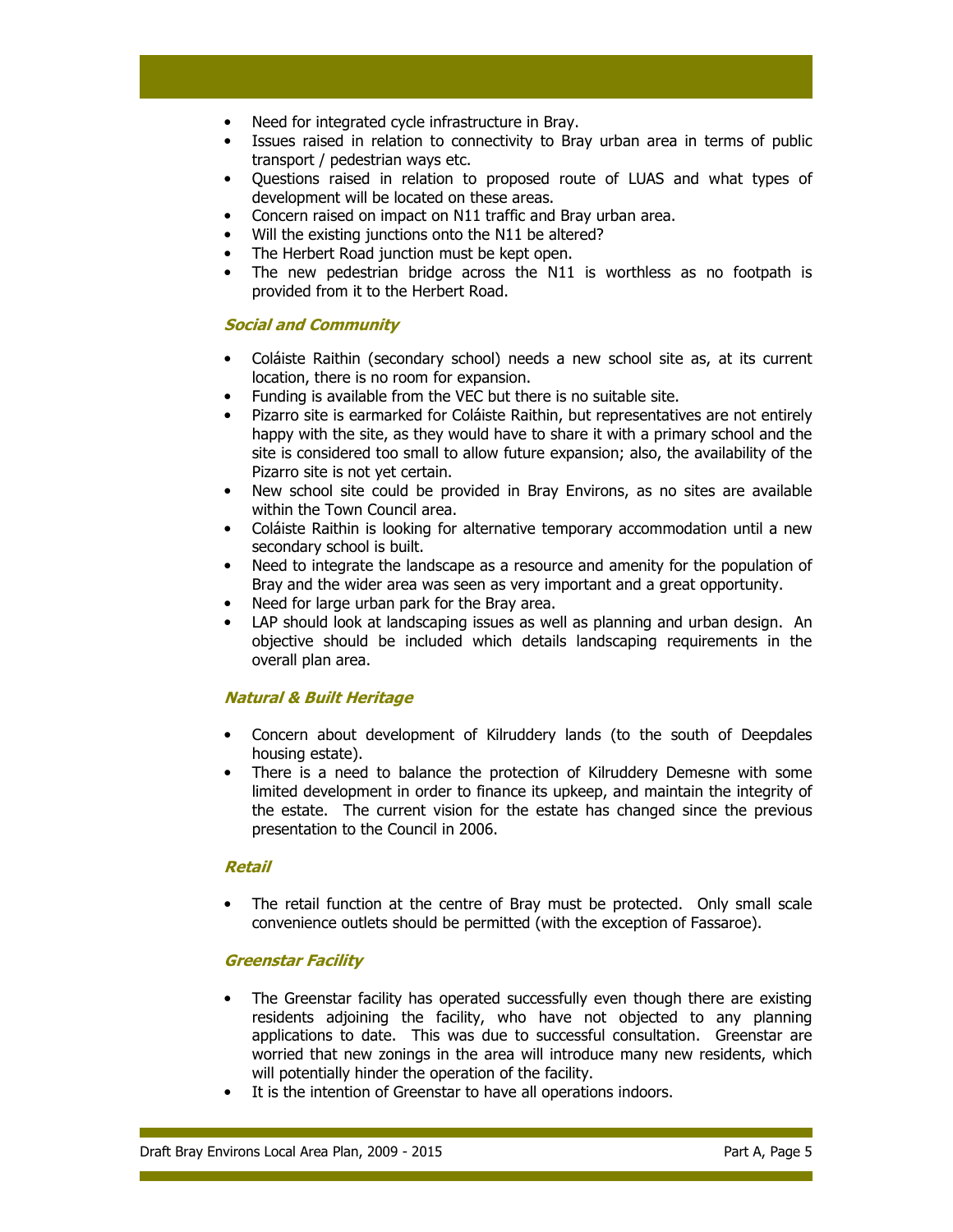- Need for integrated cycle infrastructure in Bray.
- Issues raised in relation to connectivity to Bray urban area in terms of public transport / pedestrian ways etc.
- Questions raised in relation to proposed route of LUAS and what types of development will be located on these areas.
- Concern raised on impact on N11 traffic and Bray urban area.
- Will the existing junctions onto the N11 be altered?
- The Herbert Road junction must be kept open.
- The new pedestrian bridge across the N11 is worthless as no footpath is provided from it to the Herbert Road.

## Social and Community

- Coláiste Raithin (secondary school) needs a new school site as, at its current location, there is no room for expansion.
- Funding is available from the VEC but there is no suitable site.
- Pizarro site is earmarked for Coláiste Raithin, but representatives are not entirely happy with the site, as they would have to share it with a primary school and the site is considered too small to allow future expansion; also, the availability of the Pizarro site is not yet certain.
- New school site could be provided in Bray Environs, as no sites are available within the Town Council area.
- Coláiste Raithin is looking for alternative temporary accommodation until a new secondary school is built.
- Need to integrate the landscape as a resource and amenity for the population of Bray and the wider area was seen as very important and a great opportunity.
- Need for large urban park for the Bray area.
- LAP should look at landscaping issues as well as planning and urban design. An objective should be included which details landscaping requirements in the overall plan area.

## Natural & Built Heritage

- Concern about development of Kilruddery lands (to the south of Deepdales housing estate).
- There is a need to balance the protection of Kilruddery Demesne with some limited development in order to finance its upkeep, and maintain the integrity of the estate. The current vision for the estate has changed since the previous presentation to the Council in 2006.

### Retail

• The retail function at the centre of Bray must be protected. Only small scale convenience outlets should be permitted (with the exception of Fassaroe).

## Greenstar Facility

- The Greenstar facility has operated successfully even though there are existing residents adjoining the facility, who have not objected to any planning applications to date. This was due to successful consultation. Greenstar are worried that new zonings in the area will introduce many new residents, which will potentially hinder the operation of the facility.
- It is the intention of Greenstar to have all operations indoors.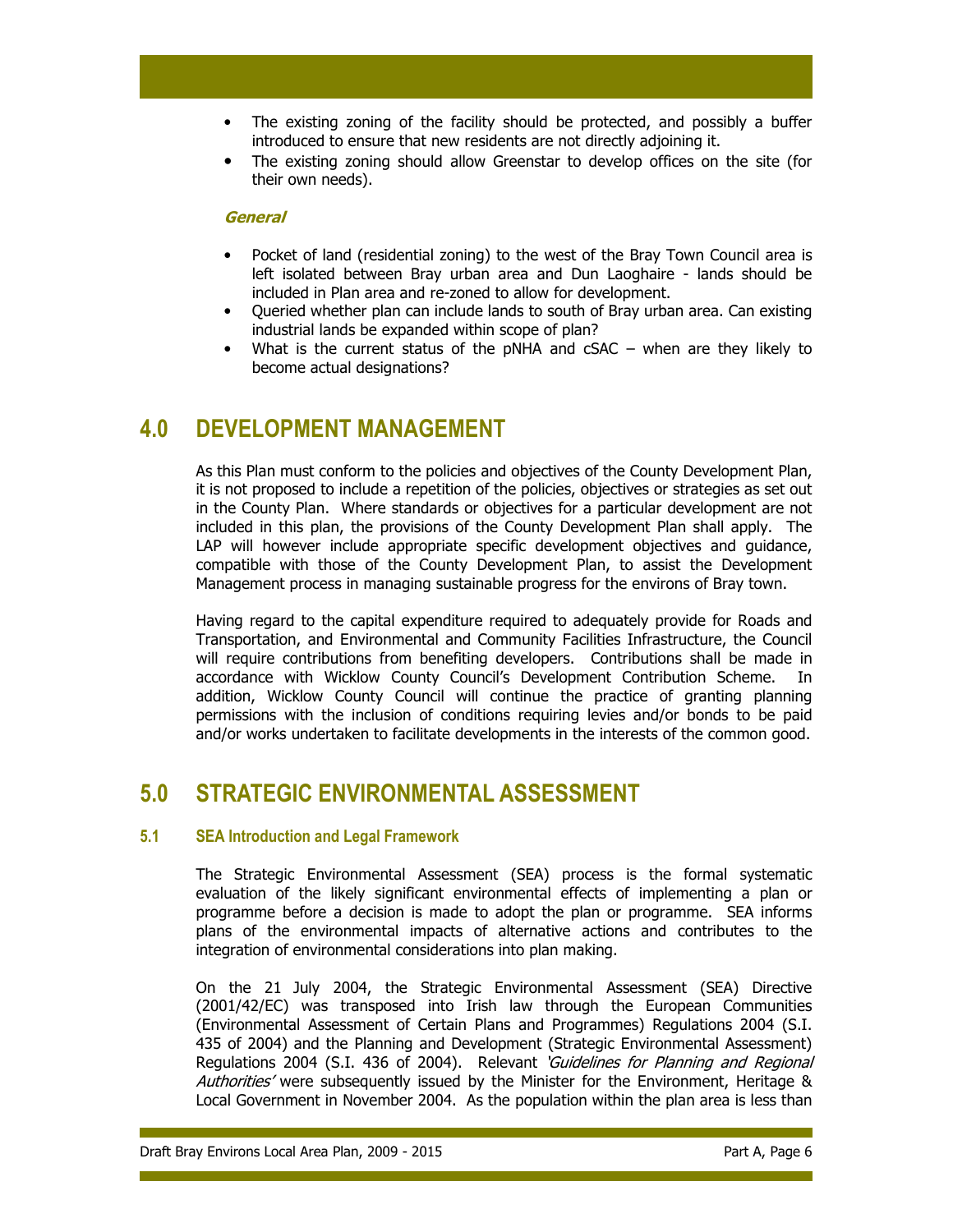- The existing zoning of the facility should be protected, and possibly a buffer introduced to ensure that new residents are not directly adjoining it.
- The existing zoning should allow Greenstar to develop offices on the site (for their own needs).

### **General**

- Pocket of land (residential zoning) to the west of the Bray Town Council area is left isolated between Bray urban area and Dun Laoghaire - lands should be included in Plan area and re-zoned to allow for development.
- Queried whether plan can include lands to south of Bray urban area. Can existing industrial lands be expanded within scope of plan?
- What is the current status of the pNHA and  $cSAC -$  when are they likely to become actual designations?

# 4.0 DEVELOPMENT MANAGEMENT

As this Plan must conform to the policies and objectives of the County Development Plan, it is not proposed to include a repetition of the policies, objectives or strategies as set out in the County Plan. Where standards or objectives for a particular development are not included in this plan, the provisions of the County Development Plan shall apply. The LAP will however include appropriate specific development objectives and guidance, compatible with those of the County Development Plan, to assist the Development Management process in managing sustainable progress for the environs of Bray town.

Having regard to the capital expenditure required to adequately provide for Roads and Transportation, and Environmental and Community Facilities Infrastructure, the Council will require contributions from benefiting developers. Contributions shall be made in accordance with Wicklow County Council's Development Contribution Scheme. In addition, Wicklow County Council will continue the practice of granting planning permissions with the inclusion of conditions requiring levies and/or bonds to be paid and/or works undertaken to facilitate developments in the interests of the common good.

# 5.0 STRATEGIC ENVIRONMENTAL ASSESSMENT

## 5.1 SEA Introduction and Legal Framework

The Strategic Environmental Assessment (SEA) process is the formal systematic evaluation of the likely significant environmental effects of implementing a plan or programme before a decision is made to adopt the plan or programme. SEA informs plans of the environmental impacts of alternative actions and contributes to the integration of environmental considerations into plan making.

On the 21 July 2004, the Strategic Environmental Assessment (SEA) Directive (2001/42/EC) was transposed into Irish law through the European Communities (Environmental Assessment of Certain Plans and Programmes) Regulations 2004 (S.I. 435 of 2004) and the Planning and Development (Strategic Environmental Assessment) Regulations 2004 (S.I. 436 of 2004). Relevant 'Guidelines for Planning and Regional Authorities' were subsequently issued by the Minister for the Environment, Heritage & Local Government in November 2004. As the population within the plan area is less than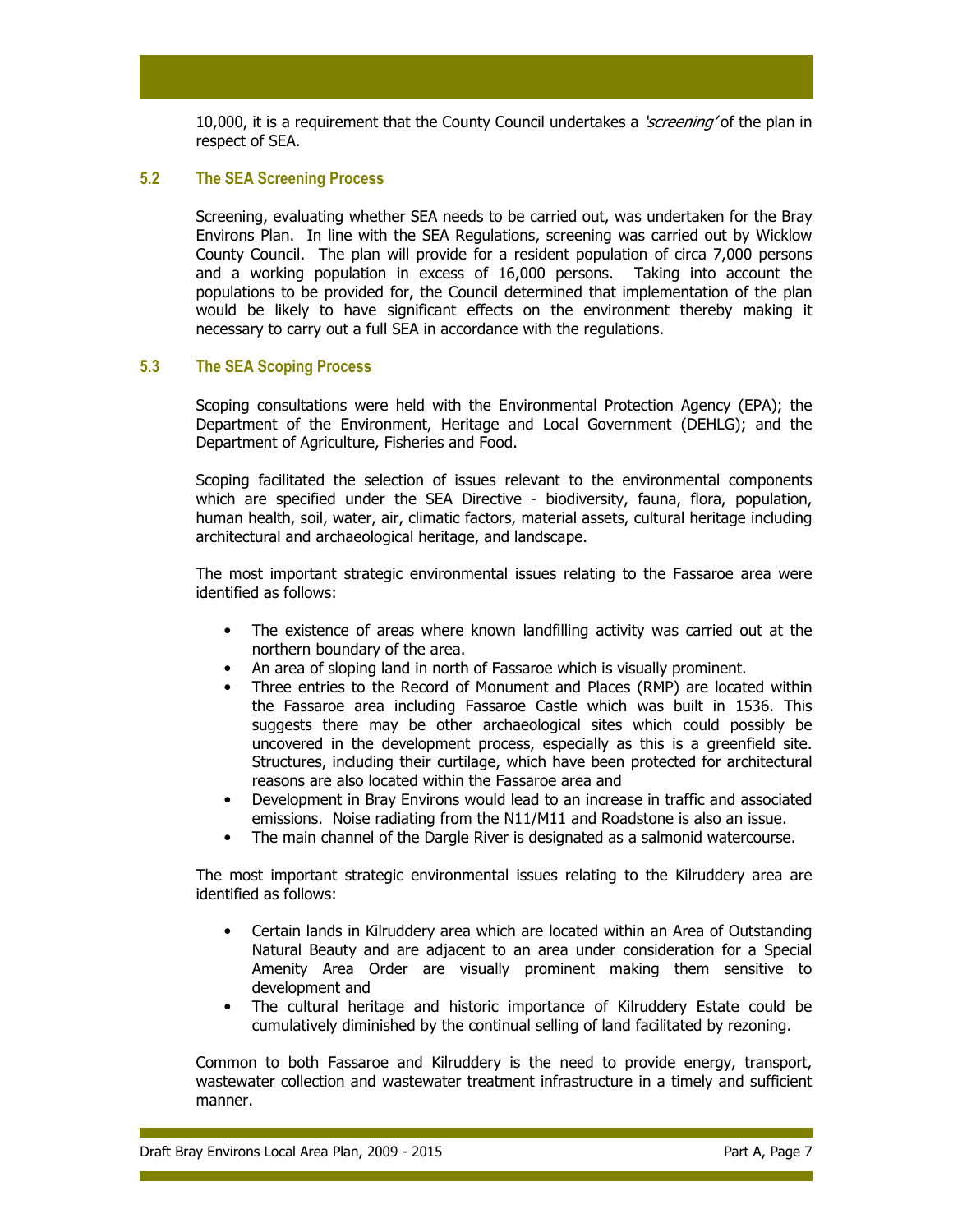10,000, it is a requirement that the County Council undertakes a *'screening'* of the plan in respect of SEA.

### 5.2 The SEA Screening Process

Screening, evaluating whether SEA needs to be carried out, was undertaken for the Bray Environs Plan. In line with the SEA Regulations, screening was carried out by Wicklow County Council. The plan will provide for a resident population of circa 7,000 persons and a working population in excess of 16,000 persons. Taking into account the populations to be provided for, the Council determined that implementation of the plan would be likely to have significant effects on the environment thereby making it necessary to carry out a full SEA in accordance with the regulations.

### 5.3 The SEA Scoping Process

Scoping consultations were held with the Environmental Protection Agency (EPA); the Department of the Environment, Heritage and Local Government (DEHLG); and the Department of Agriculture, Fisheries and Food.

Scoping facilitated the selection of issues relevant to the environmental components which are specified under the SEA Directive - biodiversity, fauna, flora, population, human health, soil, water, air, climatic factors, material assets, cultural heritage including architectural and archaeological heritage, and landscape.

The most important strategic environmental issues relating to the Fassaroe area were identified as follows:

- The existence of areas where known landfilling activity was carried out at the northern boundary of the area.
- An area of sloping land in north of Fassaroe which is visually prominent.
- Three entries to the Record of Monument and Places (RMP) are located within the Fassaroe area including Fassaroe Castle which was built in 1536. This suggests there may be other archaeological sites which could possibly be uncovered in the development process, especially as this is a greenfield site. Structures, including their curtilage, which have been protected for architectural reasons are also located within the Fassaroe area and
- Development in Bray Environs would lead to an increase in traffic and associated emissions. Noise radiating from the N11/M11 and Roadstone is also an issue.
- The main channel of the Dargle River is designated as a salmonid watercourse.

The most important strategic environmental issues relating to the Kilruddery area are identified as follows:

- Certain lands in Kilruddery area which are located within an Area of Outstanding Natural Beauty and are adjacent to an area under consideration for a Special Amenity Area Order are visually prominent making them sensitive to development and
- The cultural heritage and historic importance of Kilruddery Estate could be cumulatively diminished by the continual selling of land facilitated by rezoning.

Common to both Fassaroe and Kilruddery is the need to provide energy, transport, wastewater collection and wastewater treatment infrastructure in a timely and sufficient manner.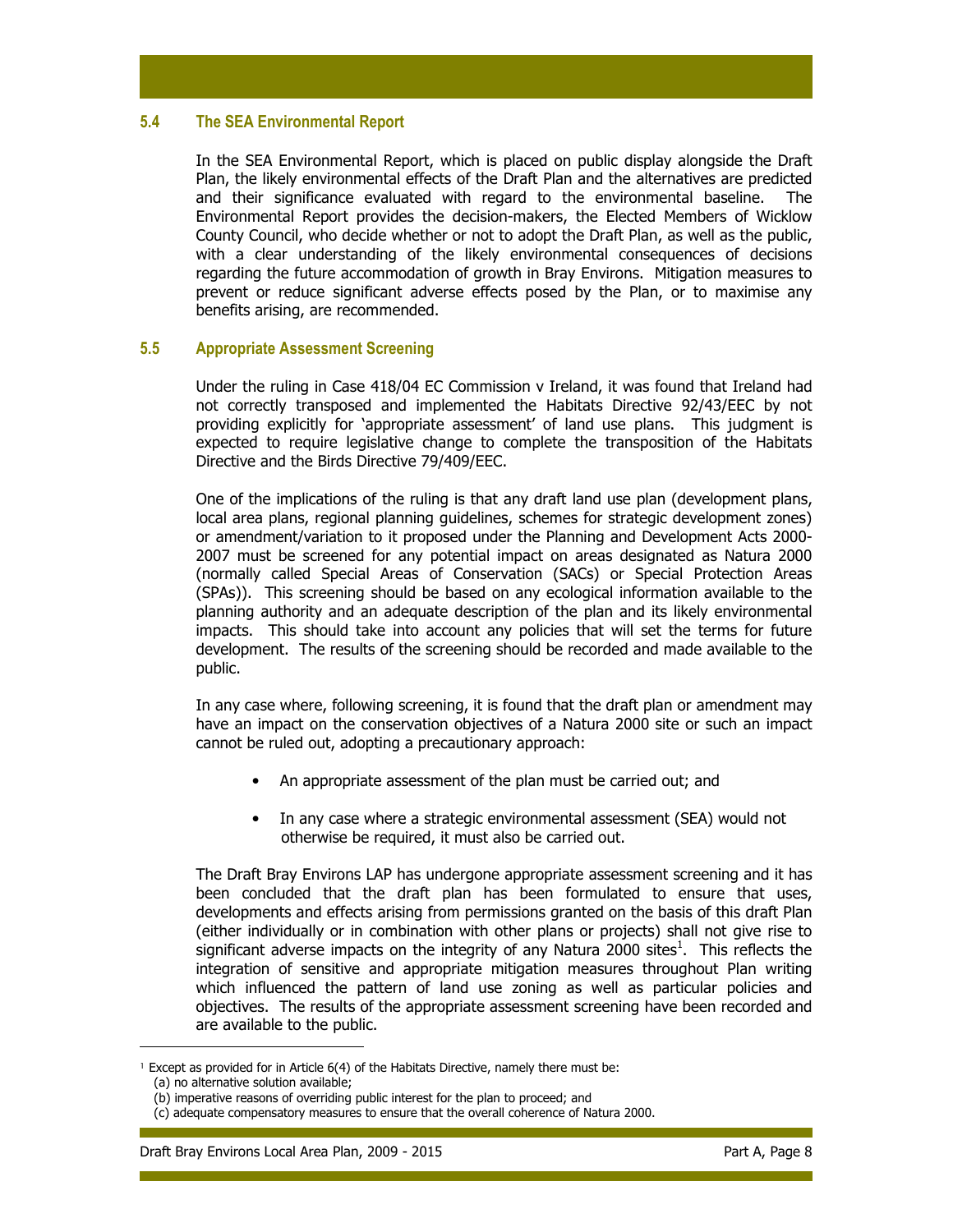### 5.4 The SEA Environmental Report

In the SEA Environmental Report, which is placed on public display alongside the Draft Plan, the likely environmental effects of the Draft Plan and the alternatives are predicted and their significance evaluated with regard to the environmental baseline. The Environmental Report provides the decision-makers, the Elected Members of Wicklow County Council, who decide whether or not to adopt the Draft Plan, as well as the public, with a clear understanding of the likely environmental consequences of decisions regarding the future accommodation of growth in Bray Environs. Mitigation measures to prevent or reduce significant adverse effects posed by the Plan, or to maximise any benefits arising, are recommended.

### 5.5 Appropriate Assessment Screening

Under the ruling in Case 418/04 EC Commission v Ireland, it was found that Ireland had not correctly transposed and implemented the Habitats Directive 92/43/EEC by not providing explicitly for 'appropriate assessment' of land use plans. This judgment is expected to require legislative change to complete the transposition of the Habitats Directive and the Birds Directive 79/409/EEC.

One of the implications of the ruling is that any draft land use plan (development plans, local area plans, regional planning guidelines, schemes for strategic development zones) or amendment/variation to it proposed under the Planning and Development Acts 2000- 2007 must be screened for any potential impact on areas designated as Natura 2000 (normally called Special Areas of Conservation (SACs) or Special Protection Areas (SPAs)). This screening should be based on any ecological information available to the planning authority and an adequate description of the plan and its likely environmental impacts. This should take into account any policies that will set the terms for future development. The results of the screening should be recorded and made available to the public.

In any case where, following screening, it is found that the draft plan or amendment may have an impact on the conservation objectives of a Natura 2000 site or such an impact cannot be ruled out, adopting a precautionary approach:

- An appropriate assessment of the plan must be carried out; and
- In any case where a strategic environmental assessment (SEA) would not otherwise be required, it must also be carried out.

The Draft Bray Environs LAP has undergone appropriate assessment screening and it has been concluded that the draft plan has been formulated to ensure that uses, developments and effects arising from permissions granted on the basis of this draft Plan (either individually or in combination with other plans or projects) shall not give rise to significant adverse impacts on the integrity of any Natura 2000 sites<sup>1</sup>. This reflects the integration of sensitive and appropriate mitigation measures throughout Plan writing which influenced the pattern of land use zoning as well as particular policies and objectives. The results of the appropriate assessment screening have been recorded and are available to the public.

<sup>&</sup>lt;sup>1</sup> Except as provided for in Article 6(4) of the Habitats Directive, namely there must be:

<sup>(</sup>a) no alternative solution available;

<sup>(</sup>b) imperative reasons of overriding public interest for the plan to proceed; and

<sup>(</sup>c) adequate compensatory measures to ensure that the overall coherence of Natura 2000.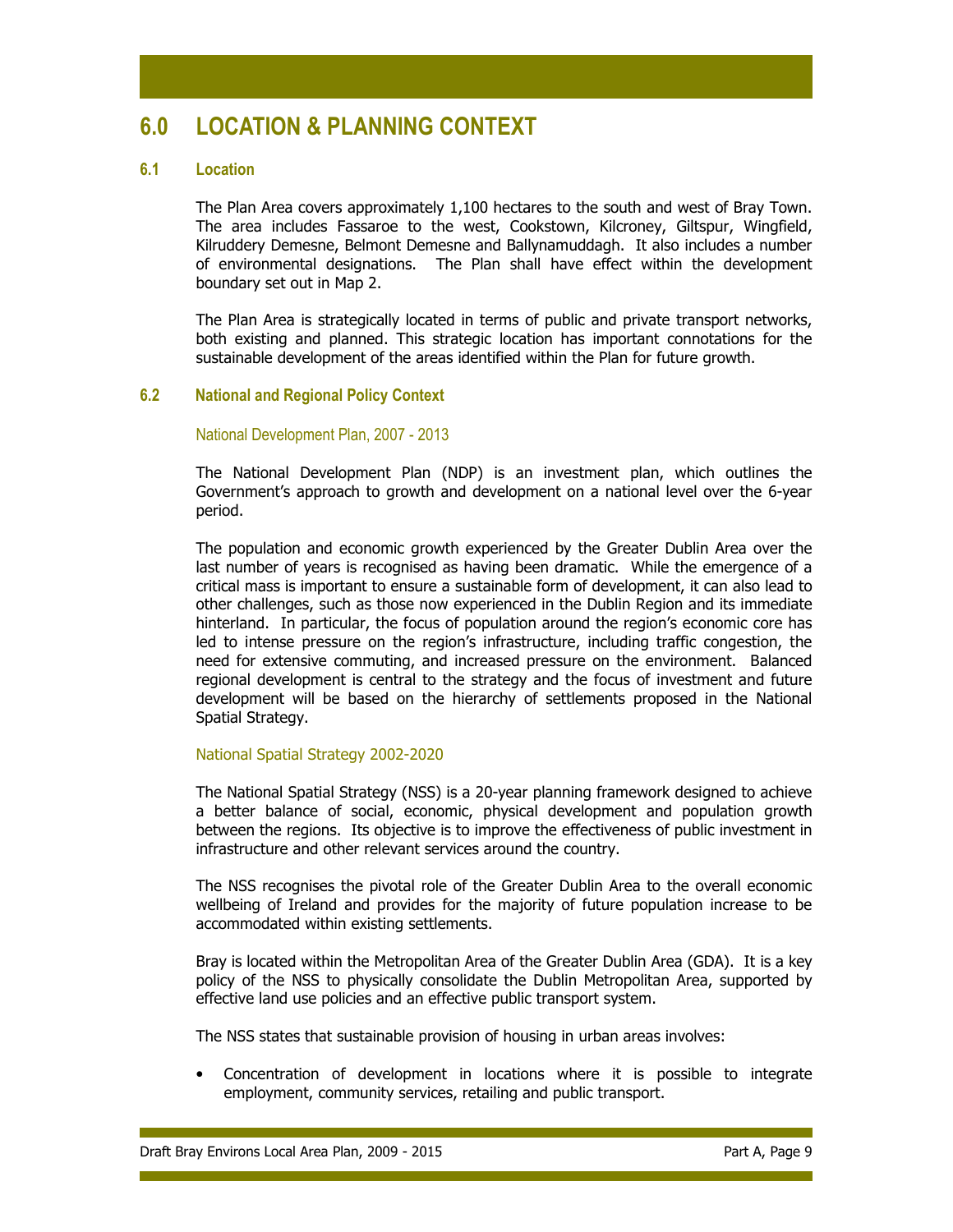# 6.0 LOCATION & PLANNING CONTEXT

### 6.1 Location

The Plan Area covers approximately 1,100 hectares to the south and west of Bray Town. The area includes Fassaroe to the west, Cookstown, Kilcroney, Giltspur, Wingfield, Kilruddery Demesne, Belmont Demesne and Ballynamuddagh. It also includes a number of environmental designations. The Plan shall have effect within the development boundary set out in Map 2.

The Plan Area is strategically located in terms of public and private transport networks, both existing and planned. This strategic location has important connotations for the sustainable development of the areas identified within the Plan for future growth.

### 6.2 National and Regional Policy Context

#### National Development Plan, 2007 - 2013

The National Development Plan (NDP) is an investment plan, which outlines the Government's approach to growth and development on a national level over the 6-year period.

The population and economic growth experienced by the Greater Dublin Area over the last number of years is recognised as having been dramatic. While the emergence of a critical mass is important to ensure a sustainable form of development, it can also lead to other challenges, such as those now experienced in the Dublin Region and its immediate hinterland. In particular, the focus of population around the region's economic core has led to intense pressure on the region's infrastructure, including traffic congestion, the need for extensive commuting, and increased pressure on the environment. Balanced regional development is central to the strategy and the focus of investment and future development will be based on the hierarchy of settlements proposed in the National Spatial Strategy.

### National Spatial Strategy 2002-2020

The National Spatial Strategy (NSS) is a 20-year planning framework designed to achieve a better balance of social, economic, physical development and population growth between the regions. Its objective is to improve the effectiveness of public investment in infrastructure and other relevant services around the country.

The NSS recognises the pivotal role of the Greater Dublin Area to the overall economic wellbeing of Ireland and provides for the majority of future population increase to be accommodated within existing settlements.

Bray is located within the Metropolitan Area of the Greater Dublin Area (GDA). It is a key policy of the NSS to physically consolidate the Dublin Metropolitan Area, supported by effective land use policies and an effective public transport system.

The NSS states that sustainable provision of housing in urban areas involves:

• Concentration of development in locations where it is possible to integrate employment, community services, retailing and public transport.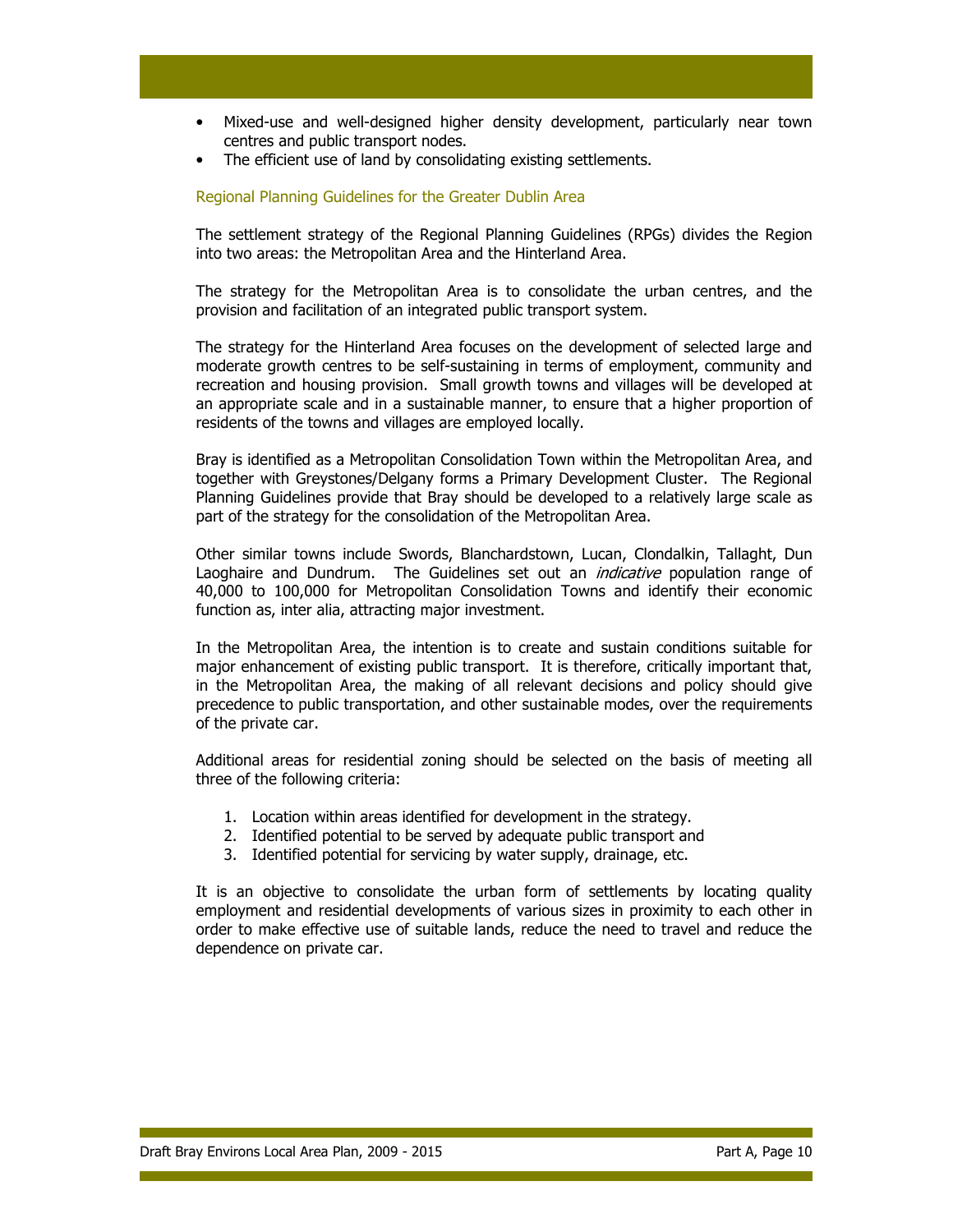- Mixed-use and well-designed higher density development, particularly near town centres and public transport nodes.
- The efficient use of land by consolidating existing settlements.

## Regional Planning Guidelines for the Greater Dublin Area

The settlement strategy of the Regional Planning Guidelines (RPGs) divides the Region into two areas: the Metropolitan Area and the Hinterland Area.

The strategy for the Metropolitan Area is to consolidate the urban centres, and the provision and facilitation of an integrated public transport system.

The strategy for the Hinterland Area focuses on the development of selected large and moderate growth centres to be self-sustaining in terms of employment, community and recreation and housing provision. Small growth towns and villages will be developed at an appropriate scale and in a sustainable manner, to ensure that a higher proportion of residents of the towns and villages are employed locally.

Bray is identified as a Metropolitan Consolidation Town within the Metropolitan Area, and together with Greystones/Delgany forms a Primary Development Cluster. The Regional Planning Guidelines provide that Bray should be developed to a relatively large scale as part of the strategy for the consolidation of the Metropolitan Area.

Other similar towns include Swords, Blanchardstown, Lucan, Clondalkin, Tallaght, Dun Laoghaire and Dundrum. The Guidelines set out an *indicative* population range of 40,000 to 100,000 for Metropolitan Consolidation Towns and identify their economic function as, inter alia, attracting major investment.

In the Metropolitan Area, the intention is to create and sustain conditions suitable for major enhancement of existing public transport. It is therefore, critically important that, in the Metropolitan Area, the making of all relevant decisions and policy should give precedence to public transportation, and other sustainable modes, over the requirements of the private car.

Additional areas for residential zoning should be selected on the basis of meeting all three of the following criteria:

- 1. Location within areas identified for development in the strategy.
- 2. Identified potential to be served by adequate public transport and
- 3. Identified potential for servicing by water supply, drainage, etc.

It is an objective to consolidate the urban form of settlements by locating quality employment and residential developments of various sizes in proximity to each other in order to make effective use of suitable lands, reduce the need to travel and reduce the dependence on private car.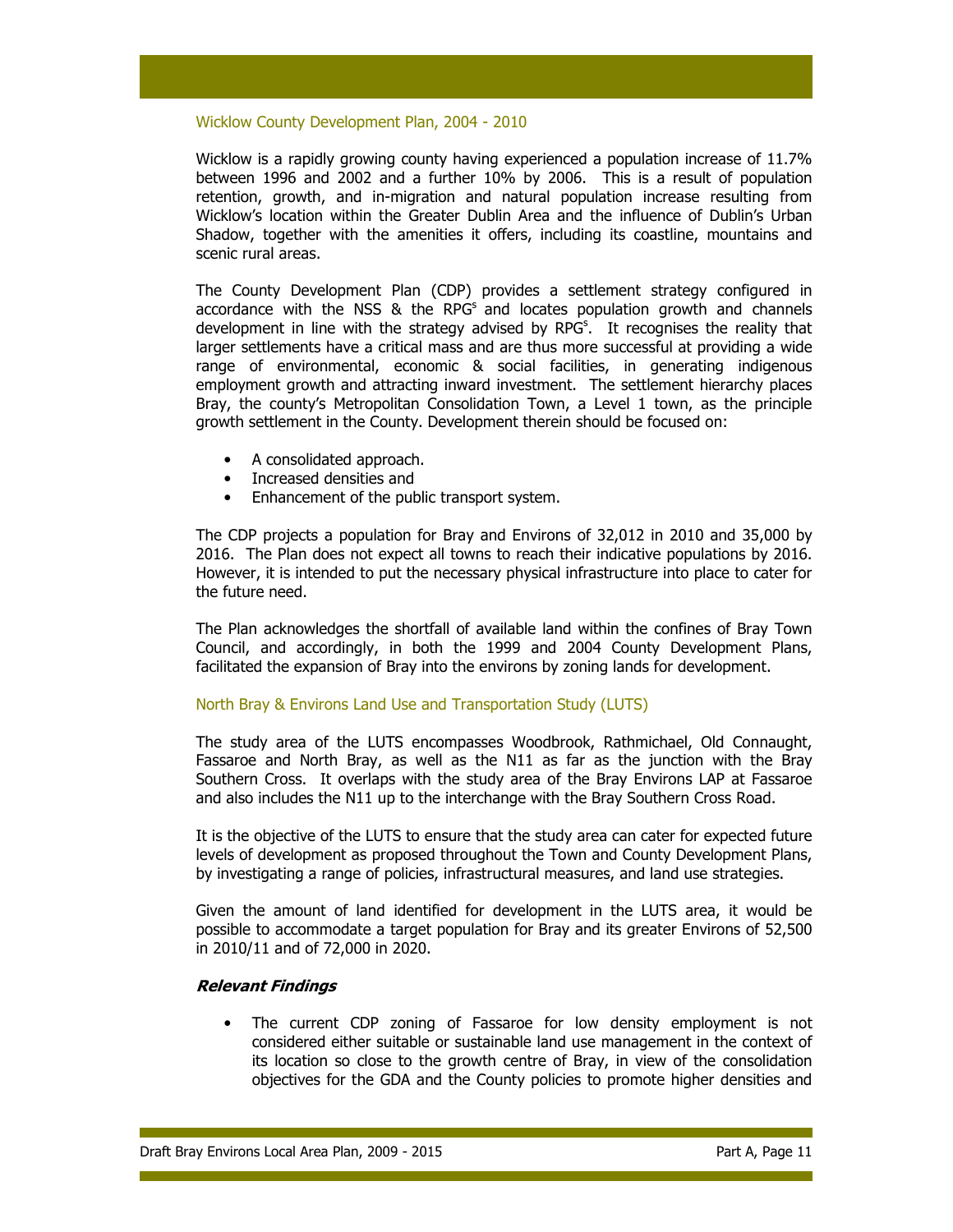#### Wicklow County Development Plan, 2004 - 2010

Wicklow is a rapidly growing county having experienced a population increase of 11.7% between 1996 and 2002 and a further 10% by 2006. This is a result of population retention, growth, and in-migration and natural population increase resulting from Wicklow's location within the Greater Dublin Area and the influence of Dublin's Urban Shadow, together with the amenities it offers, including its coastline, mountains and scenic rural areas.

The County Development Plan (CDP) provides a settlement strategy configured in accordance with the NSS  $\&$  the RPG<sup>s</sup> and locates population growth and channels development in line with the strategy advised by RPG<sup>s</sup>. It recognises the reality that larger settlements have a critical mass and are thus more successful at providing a wide range of environmental, economic & social facilities, in generating indigenous employment growth and attracting inward investment. The settlement hierarchy places Bray, the county's Metropolitan Consolidation Town, a Level 1 town, as the principle growth settlement in the County. Development therein should be focused on:

- A consolidated approach.
- Increased densities and
- Enhancement of the public transport system.

The CDP projects a population for Bray and Environs of 32,012 in 2010 and 35,000 by 2016. The Plan does not expect all towns to reach their indicative populations by 2016. However, it is intended to put the necessary physical infrastructure into place to cater for the future need.

The Plan acknowledges the shortfall of available land within the confines of Bray Town Council, and accordingly, in both the 1999 and 2004 County Development Plans, facilitated the expansion of Bray into the environs by zoning lands for development.

### North Bray & Environs Land Use and Transportation Study (LUTS)

The study area of the LUTS encompasses Woodbrook, Rathmichael, Old Connaught, Fassaroe and North Bray, as well as the N11 as far as the junction with the Bray Southern Cross. It overlaps with the study area of the Bray Environs LAP at Fassaroe and also includes the N11 up to the interchange with the Bray Southern Cross Road.

It is the objective of the LUTS to ensure that the study area can cater for expected future levels of development as proposed throughout the Town and County Development Plans, by investigating a range of policies, infrastructural measures, and land use strategies.

Given the amount of land identified for development in the LUTS area, it would be possible to accommodate a target population for Bray and its greater Environs of 52,500 in 2010/11 and of 72,000 in 2020.

### Relevant Findings

The current CDP zoning of Fassaroe for low density employment is not considered either suitable or sustainable land use management in the context of its location so close to the growth centre of Bray, in view of the consolidation objectives for the GDA and the County policies to promote higher densities and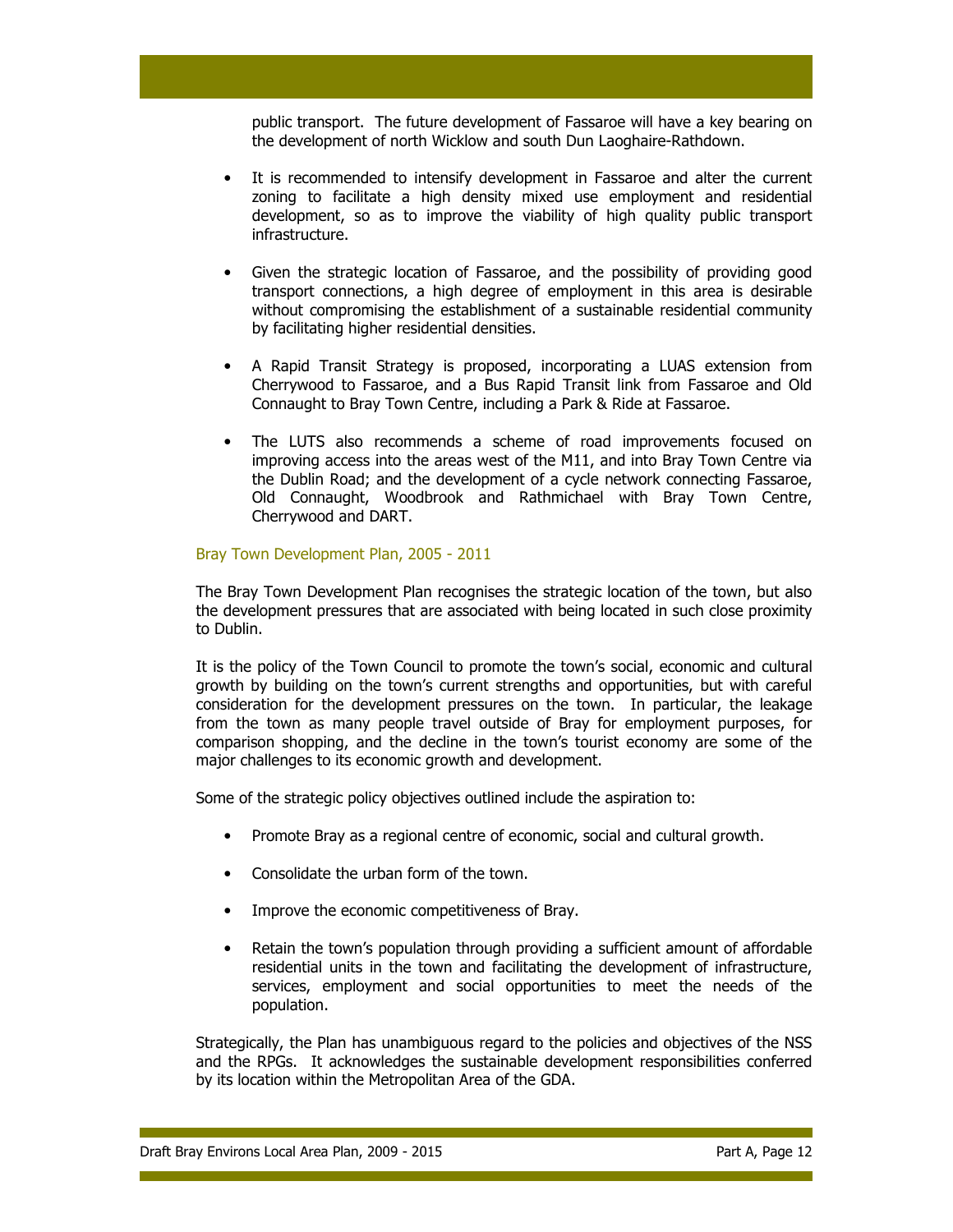public transport. The future development of Fassaroe will have a key bearing on the development of north Wicklow and south Dun Laoghaire-Rathdown.

- It is recommended to intensify development in Fassaroe and alter the current zoning to facilitate a high density mixed use employment and residential development, so as to improve the viability of high quality public transport infrastructure.
- Given the strategic location of Fassaroe, and the possibility of providing good transport connections, a high degree of employment in this area is desirable without compromising the establishment of a sustainable residential community by facilitating higher residential densities.
- A Rapid Transit Strategy is proposed, incorporating a LUAS extension from Cherrywood to Fassaroe, and a Bus Rapid Transit link from Fassaroe and Old Connaught to Bray Town Centre, including a Park & Ride at Fassaroe.
- The LUTS also recommends a scheme of road improvements focused on improving access into the areas west of the M11, and into Bray Town Centre via the Dublin Road; and the development of a cycle network connecting Fassaroe, Old Connaught, Woodbrook and Rathmichael with Bray Town Centre, Cherrywood and DART.

### Bray Town Development Plan, 2005 - 2011

The Bray Town Development Plan recognises the strategic location of the town, but also the development pressures that are associated with being located in such close proximity to Dublin.

It is the policy of the Town Council to promote the town's social, economic and cultural growth by building on the town's current strengths and opportunities, but with careful consideration for the development pressures on the town. In particular, the leakage from the town as many people travel outside of Bray for employment purposes, for comparison shopping, and the decline in the town's tourist economy are some of the major challenges to its economic growth and development.

Some of the strategic policy objectives outlined include the aspiration to:

- Promote Bray as a regional centre of economic, social and cultural growth.
- Consolidate the urban form of the town.
- Improve the economic competitiveness of Bray.
- Retain the town's population through providing a sufficient amount of affordable residential units in the town and facilitating the development of infrastructure, services, employment and social opportunities to meet the needs of the population.

Strategically, the Plan has unambiguous regard to the policies and objectives of the NSS and the RPGs. It acknowledges the sustainable development responsibilities conferred by its location within the Metropolitan Area of the GDA.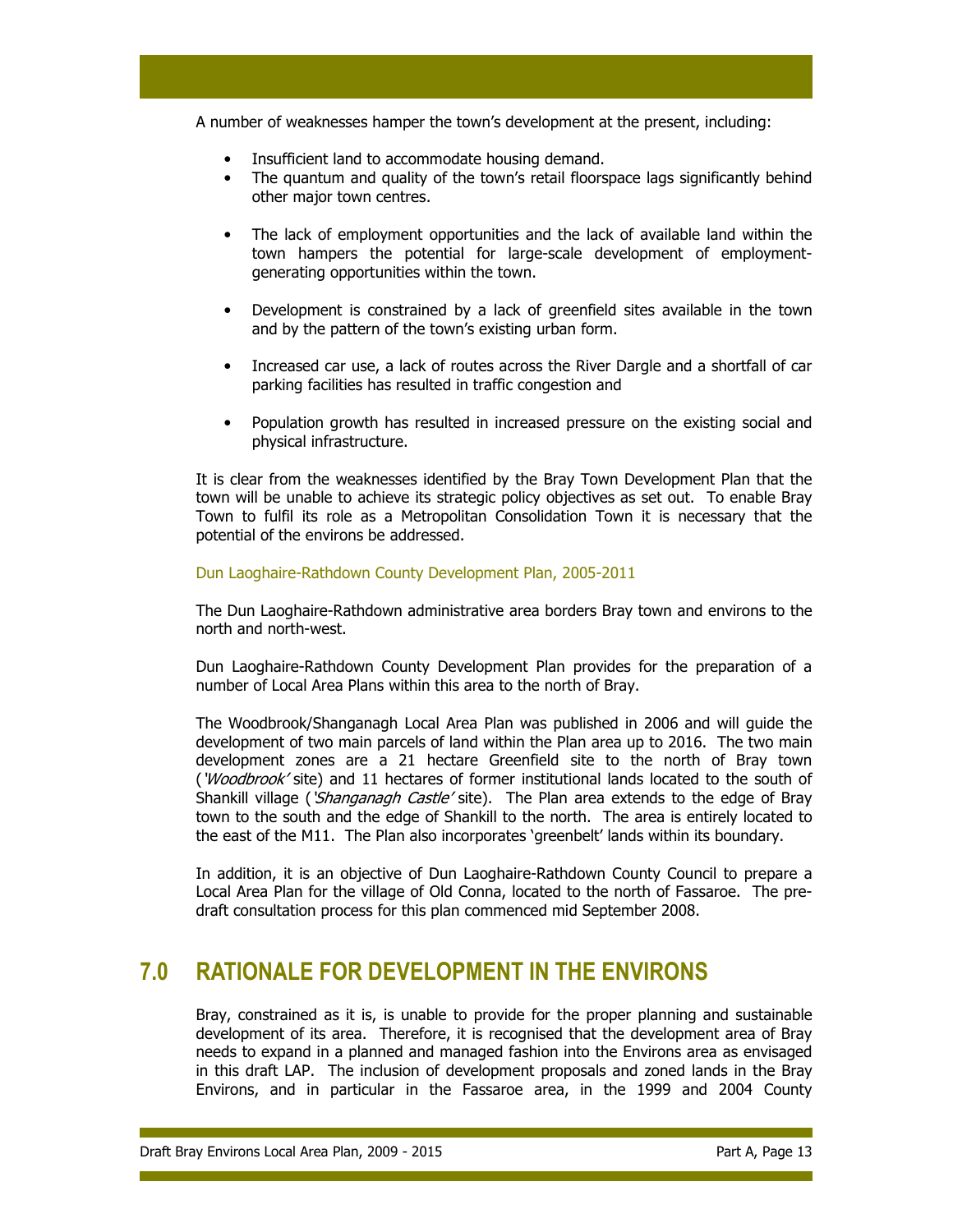A number of weaknesses hamper the town's development at the present, including:

- Insufficient land to accommodate housing demand.
- The quantum and quality of the town's retail floorspace lags significantly behind other major town centres.
- The lack of employment opportunities and the lack of available land within the town hampers the potential for large-scale development of employmentgenerating opportunities within the town.
- Development is constrained by a lack of greenfield sites available in the town and by the pattern of the town's existing urban form.
- Increased car use, a lack of routes across the River Dargle and a shortfall of car parking facilities has resulted in traffic congestion and
- Population growth has resulted in increased pressure on the existing social and physical infrastructure.

It is clear from the weaknesses identified by the Bray Town Development Plan that the town will be unable to achieve its strategic policy objectives as set out. To enable Bray Town to fulfil its role as a Metropolitan Consolidation Town it is necessary that the potential of the environs be addressed.

# Dun Laoghaire-Rathdown County Development Plan, 2005-2011

The Dun Laoghaire-Rathdown administrative area borders Bray town and environs to the north and north-west.

Dun Laoghaire-Rathdown County Development Plan provides for the preparation of a number of Local Area Plans within this area to the north of Bray.

The Woodbrook/Shanganagh Local Area Plan was published in 2006 and will guide the development of two main parcels of land within the Plan area up to 2016. The two main development zones are a 21 hectare Greenfield site to the north of Bray town ('Woodbrook' site) and 11 hectares of former institutional lands located to the south of Shankill village ('Shanganagh Castle' site). The Plan area extends to the edge of Bray town to the south and the edge of Shankill to the north. The area is entirely located to the east of the M11. The Plan also incorporates 'greenbelt' lands within its boundary.

In addition, it is an objective of Dun Laoghaire-Rathdown County Council to prepare a Local Area Plan for the village of Old Conna, located to the north of Fassaroe. The predraft consultation process for this plan commenced mid September 2008.

# 7.0 RATIONALE FOR DEVELOPMENT IN THE ENVIRONS

Bray, constrained as it is, is unable to provide for the proper planning and sustainable development of its area. Therefore, it is recognised that the development area of Bray needs to expand in a planned and managed fashion into the Environs area as envisaged in this draft LAP. The inclusion of development proposals and zoned lands in the Bray Environs, and in particular in the Fassaroe area, in the 1999 and 2004 County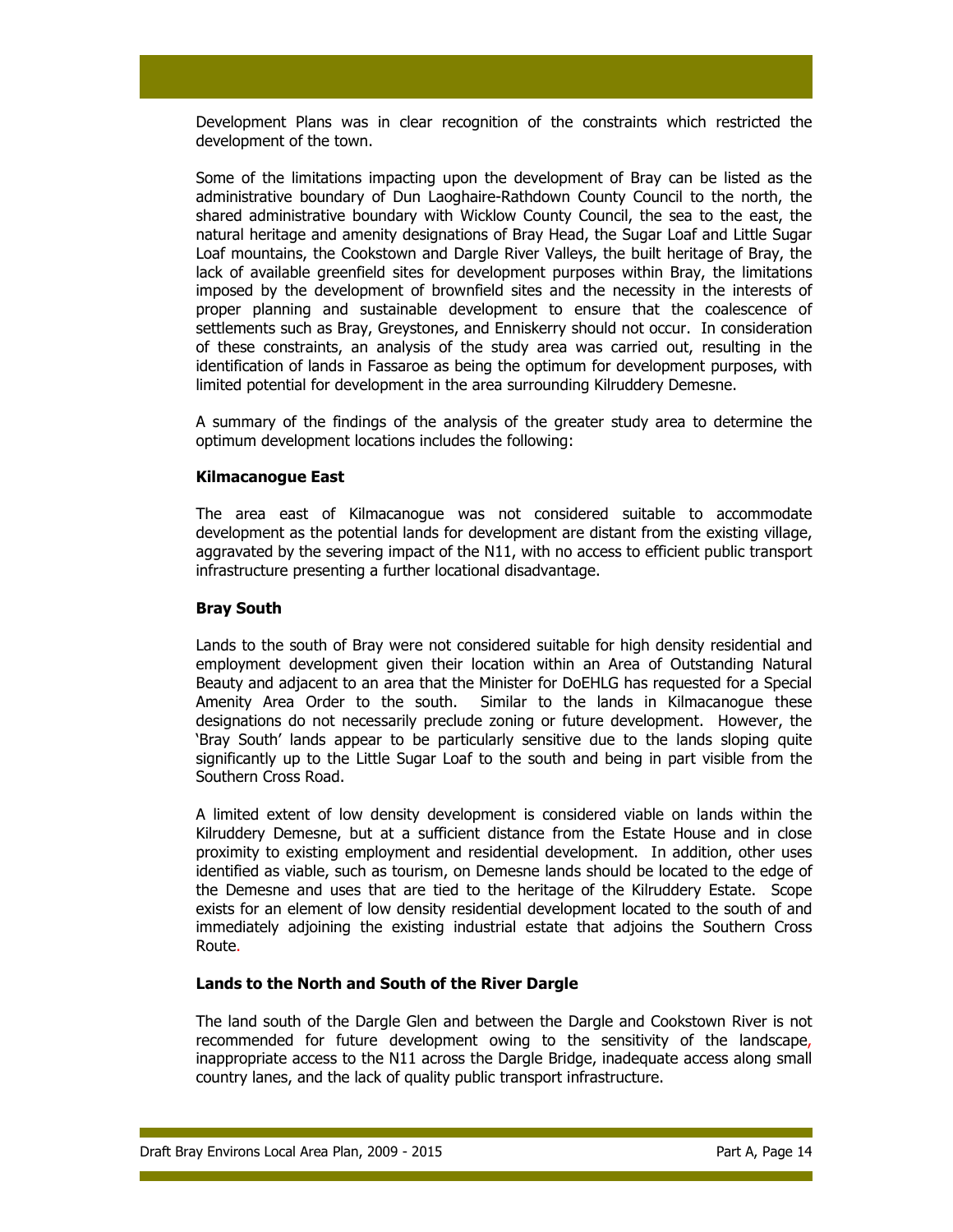Development Plans was in clear recognition of the constraints which restricted the development of the town.

Some of the limitations impacting upon the development of Bray can be listed as the administrative boundary of Dun Laoghaire-Rathdown County Council to the north, the shared administrative boundary with Wicklow County Council, the sea to the east, the natural heritage and amenity designations of Bray Head, the Sugar Loaf and Little Sugar Loaf mountains, the Cookstown and Dargle River Valleys, the built heritage of Bray, the lack of available greenfield sites for development purposes within Bray, the limitations imposed by the development of brownfield sites and the necessity in the interests of proper planning and sustainable development to ensure that the coalescence of settlements such as Bray, Greystones, and Enniskerry should not occur. In consideration of these constraints, an analysis of the study area was carried out, resulting in the identification of lands in Fassaroe as being the optimum for development purposes, with limited potential for development in the area surrounding Kilruddery Demesne.

A summary of the findings of the analysis of the greater study area to determine the optimum development locations includes the following:

### Kilmacanogue East

The area east of Kilmacanogue was not considered suitable to accommodate development as the potential lands for development are distant from the existing village, aggravated by the severing impact of the N11, with no access to efficient public transport infrastructure presenting a further locational disadvantage.

### Bray South

Lands to the south of Bray were not considered suitable for high density residential and employment development given their location within an Area of Outstanding Natural Beauty and adjacent to an area that the Minister for DoEHLG has requested for a Special Amenity Area Order to the south. Similar to the lands in Kilmacanogue these designations do not necessarily preclude zoning or future development. However, the 'Bray South' lands appear to be particularly sensitive due to the lands sloping quite significantly up to the Little Sugar Loaf to the south and being in part visible from the Southern Cross Road.

A limited extent of low density development is considered viable on lands within the Kilruddery Demesne, but at a sufficient distance from the Estate House and in close proximity to existing employment and residential development. In addition, other uses identified as viable, such as tourism, on Demesne lands should be located to the edge of the Demesne and uses that are tied to the heritage of the Kilruddery Estate. Scope exists for an element of low density residential development located to the south of and immediately adjoining the existing industrial estate that adjoins the Southern Cross Route.

## Lands to the North and South of the River Dargle

The land south of the Dargle Glen and between the Dargle and Cookstown River is not recommended for future development owing to the sensitivity of the landscape, inappropriate access to the N11 across the Dargle Bridge, inadequate access along small country lanes, and the lack of quality public transport infrastructure.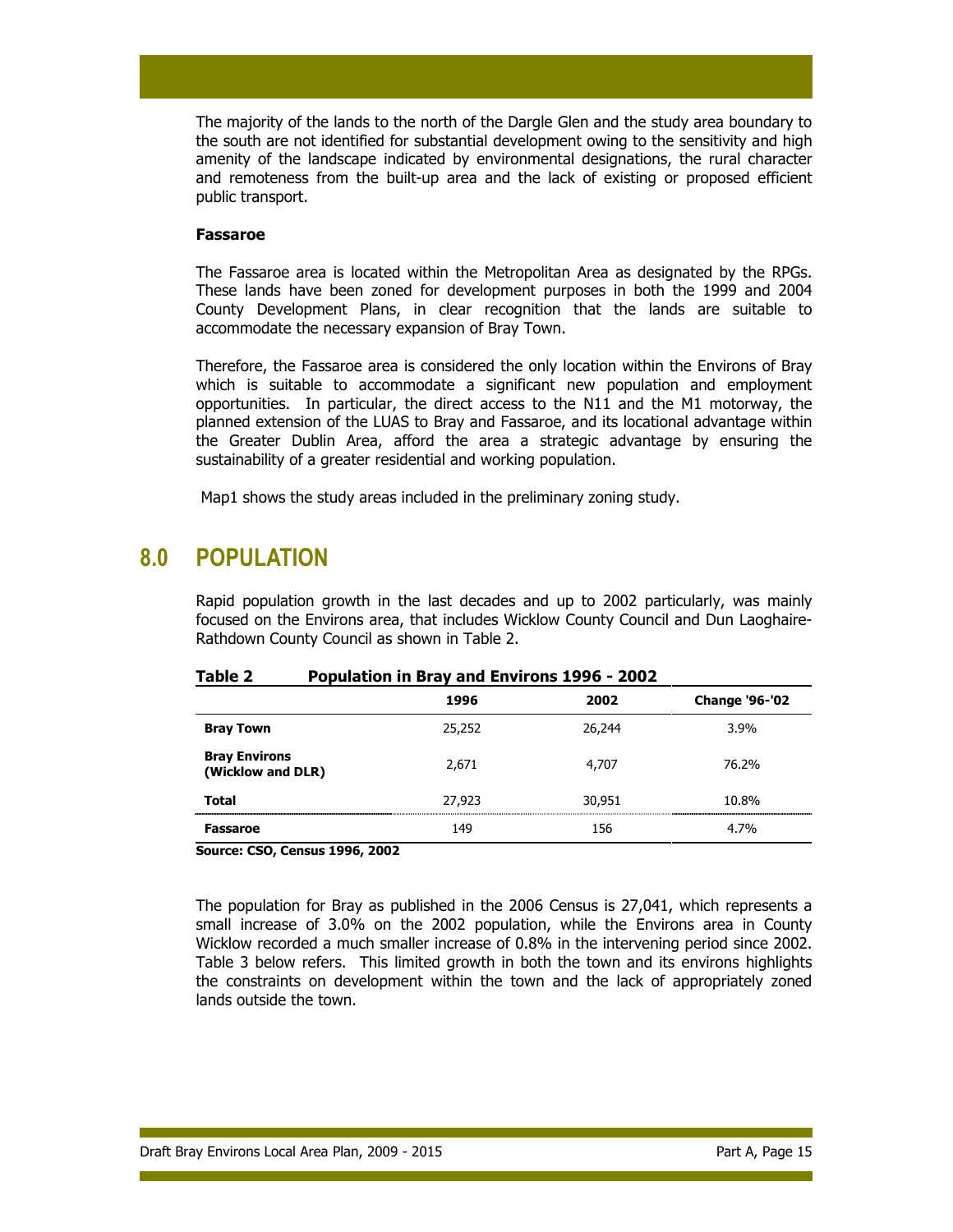The majority of the lands to the north of the Dargle Glen and the study area boundary to the south are not identified for substantial development owing to the sensitivity and high amenity of the landscape indicated by environmental designations, the rural character and remoteness from the built-up area and the lack of existing or proposed efficient public transport.

#### Fassaroe

The Fassaroe area is located within the Metropolitan Area as designated by the RPGs. These lands have been zoned for development purposes in both the 1999 and 2004 County Development Plans, in clear recognition that the lands are suitable to accommodate the necessary expansion of Bray Town.

Therefore, the Fassaroe area is considered the only location within the Environs of Bray which is suitable to accommodate a significant new population and employment opportunities. In particular, the direct access to the N11 and the M1 motorway, the planned extension of the LUAS to Bray and Fassaroe, and its locational advantage within the Greater Dublin Area, afford the area a strategic advantage by ensuring the sustainability of a greater residential and working population.

Map1 shows the study areas included in the preliminary zoning study.

# 8.0 POPULATION

Rapid population growth in the last decades and up to 2002 particularly, was mainly focused on the Environs area, that includes Wicklow County Council and Dun Laoghaire-Rathdown County Council as shown in Table 2.

|                                           | 1996   | 2002   | <b>Change '96-'02</b> |  |  |
|-------------------------------------------|--------|--------|-----------------------|--|--|
| <b>Bray Town</b>                          | 25,252 | 26,244 | 3.9%                  |  |  |
| <b>Bray Environs</b><br>(Wicklow and DLR) | 2,671  | 4,707  | 76.2%                 |  |  |
| <b>Total</b>                              | 27,923 | 30,951 | 10.8%                 |  |  |
| Fassaroe                                  | 149    | 156    | 4.7%                  |  |  |

### Table 2 Population in Bray and Environs 1996 - 2002

Source: CSO, Census 1996, 2002

The population for Bray as published in the 2006 Census is 27,041, which represents a small increase of 3.0% on the 2002 population, while the Environs area in County Wicklow recorded a much smaller increase of 0.8% in the intervening period since 2002. Table 3 below refers. This limited growth in both the town and its environs highlights the constraints on development within the town and the lack of appropriately zoned lands outside the town.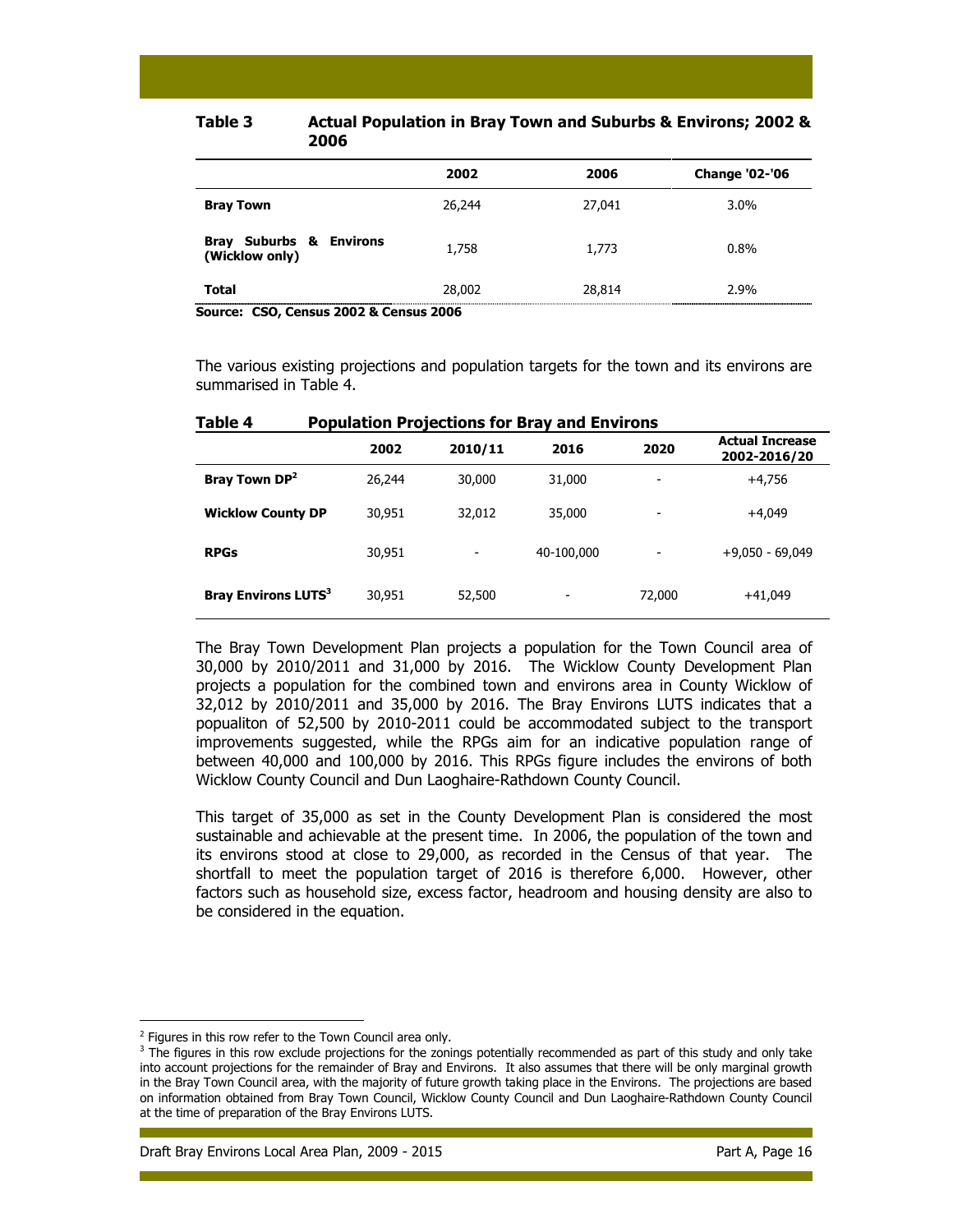| 2002   | 2006   | <b>Change '02-'06</b> |
|--------|--------|-----------------------|
| 26,244 | 27,041 | 3.0%                  |
| 1,758  | 1,773  | $0.8\%$               |
| 28,002 | 28,814 | 2.9%                  |
|        |        |                       |

### Table 3 Actual Population in Bray Town and Suburbs & Environs; 2002 & 2006

Source: CSO, Census 2002 & Census 2006

The various existing projections and population targets for the town and its environs are summarised in Table 4.

| .                                     |        |         |            |                |                                        |  |
|---------------------------------------|--------|---------|------------|----------------|----------------------------------------|--|
|                                       | 2002   | 2010/11 | 2016       | 2020           | <b>Actual Increase</b><br>2002-2016/20 |  |
| Bray Town DP <sup>2</sup>             | 26,244 | 30,000  | 31,000     | $\overline{ }$ | $+4.756$                               |  |
| <b>Wicklow County DP</b>              | 30,951 | 32,012  | 35,000     | ٠              | $+4.049$                               |  |
| <b>RPGs</b>                           | 30,951 |         | 40-100,000 |                | $+9,050 - 69,049$                      |  |
| <b>Bray Environs LUTS<sup>3</sup></b> | 30,951 | 52,500  |            | 72,000         | $+41,049$                              |  |

| Table 4<br><b>Population Projections for Bray and Environs</b> |
|----------------------------------------------------------------|
|----------------------------------------------------------------|

The Bray Town Development Plan projects a population for the Town Council area of 30,000 by 2010/2011 and 31,000 by 2016. The Wicklow County Development Plan projects a population for the combined town and environs area in County Wicklow of 32,012 by 2010/2011 and 35,000 by 2016. The Bray Environs LUTS indicates that a popualiton of 52,500 by 2010-2011 could be accommodated subject to the transport improvements suggested, while the RPGs aim for an indicative population range of between 40,000 and 100,000 by 2016. This RPGs figure includes the environs of both Wicklow County Council and Dun Laoghaire-Rathdown County Council.

This target of 35,000 as set in the County Development Plan is considered the most sustainable and achievable at the present time. In 2006, the population of the town and its environs stood at close to 29,000, as recorded in the Census of that year. The shortfall to meet the population target of 2016 is therefore 6,000. However, other factors such as household size, excess factor, headroom and housing density are also to be considered in the equation.

<sup>&</sup>lt;sup>2</sup> Figures in this row refer to the Town Council area only.

 $3$  The figures in this row exclude projections for the zonings potentially recommended as part of this study and only take into account projections for the remainder of Bray and Environs. It also assumes that there will be only marginal growth in the Bray Town Council area, with the majority of future growth taking place in the Environs. The projections are based on information obtained from Bray Town Council, Wicklow County Council and Dun Laoghaire-Rathdown County Council at the time of preparation of the Bray Environs LUTS.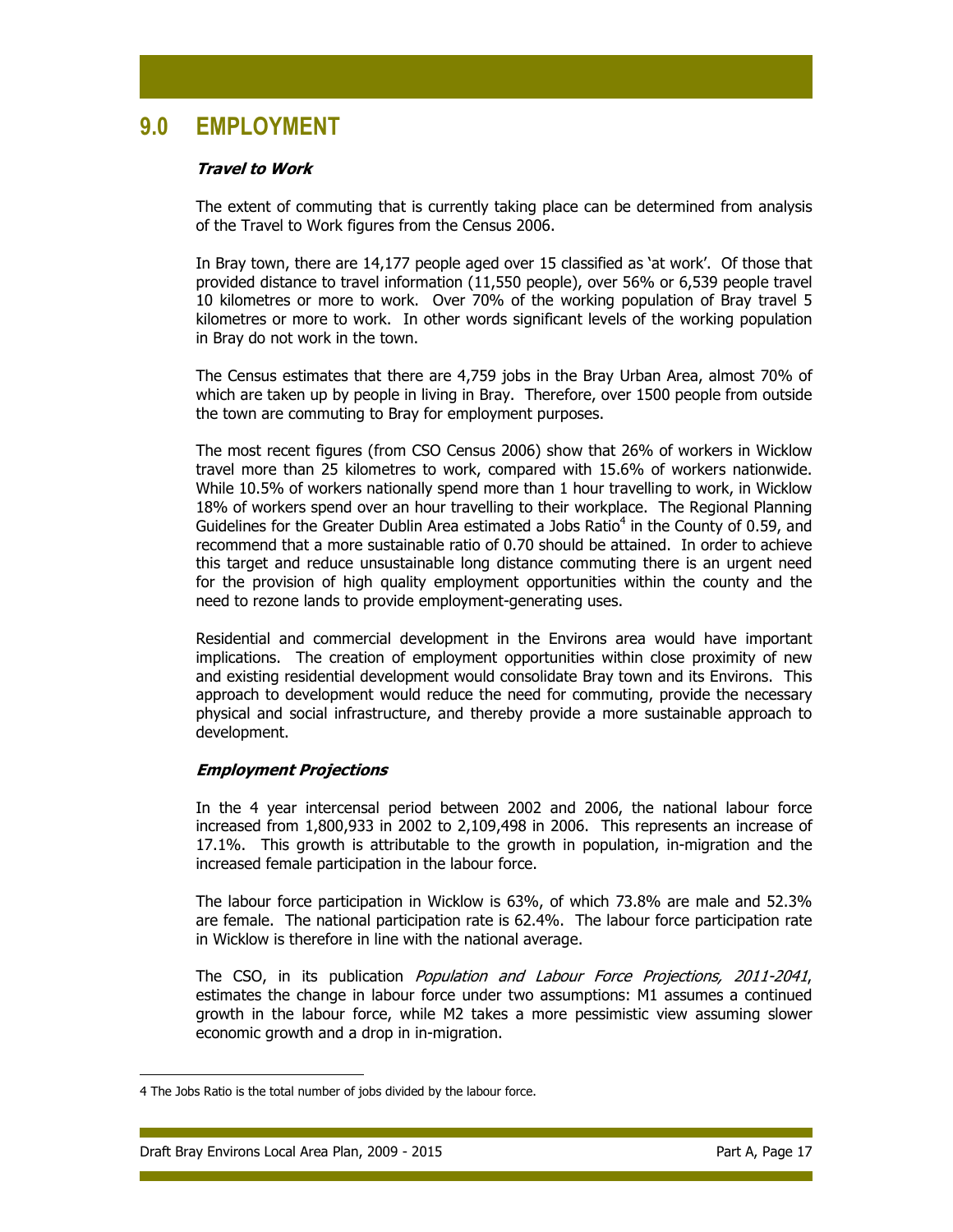# 9.0 EMPLOYMENT

### Travel to Work

The extent of commuting that is currently taking place can be determined from analysis of the Travel to Work figures from the Census 2006.

In Bray town, there are 14,177 people aged over 15 classified as 'at work'. Of those that provided distance to travel information (11,550 people), over 56% or 6,539 people travel 10 kilometres or more to work. Over 70% of the working population of Bray travel 5 kilometres or more to work. In other words significant levels of the working population in Bray do not work in the town.

The Census estimates that there are 4,759 jobs in the Bray Urban Area, almost 70% of which are taken up by people in living in Bray. Therefore, over 1500 people from outside the town are commuting to Bray for employment purposes.

The most recent figures (from CSO Census 2006) show that 26% of workers in Wicklow travel more than 25 kilometres to work, compared with 15.6% of workers nationwide. While 10.5% of workers nationally spend more than 1 hour travelling to work, in Wicklow 18% of workers spend over an hour travelling to their workplace. The Regional Planning Guidelines for the Greater Dublin Area estimated a Jobs Ratio $<sup>4</sup>$  in the County of 0.59, and</sup> recommend that a more sustainable ratio of 0.70 should be attained. In order to achieve this target and reduce unsustainable long distance commuting there is an urgent need for the provision of high quality employment opportunities within the county and the need to rezone lands to provide employment-generating uses.

Residential and commercial development in the Environs area would have important implications. The creation of employment opportunities within close proximity of new and existing residential development would consolidate Bray town and its Environs. This approach to development would reduce the need for commuting, provide the necessary physical and social infrastructure, and thereby provide a more sustainable approach to development.

## Employment Projections

In the 4 year intercensal period between 2002 and 2006, the national labour force increased from 1,800,933 in 2002 to 2,109,498 in 2006. This represents an increase of 17.1%. This growth is attributable to the growth in population, in-migration and the increased female participation in the labour force.

The labour force participation in Wicklow is 63%, of which 73.8% are male and 52.3% are female. The national participation rate is 62.4%. The labour force participation rate in Wicklow is therefore in line with the national average.

The CSO, in its publication *Population and Labour Force Projections, 2011-2041*, estimates the change in labour force under two assumptions: M1 assumes a continued growth in the labour force, while M2 takes a more pessimistic view assuming slower economic growth and a drop in in-migration.

<sup>4</sup> The Jobs Ratio is the total number of jobs divided by the labour force.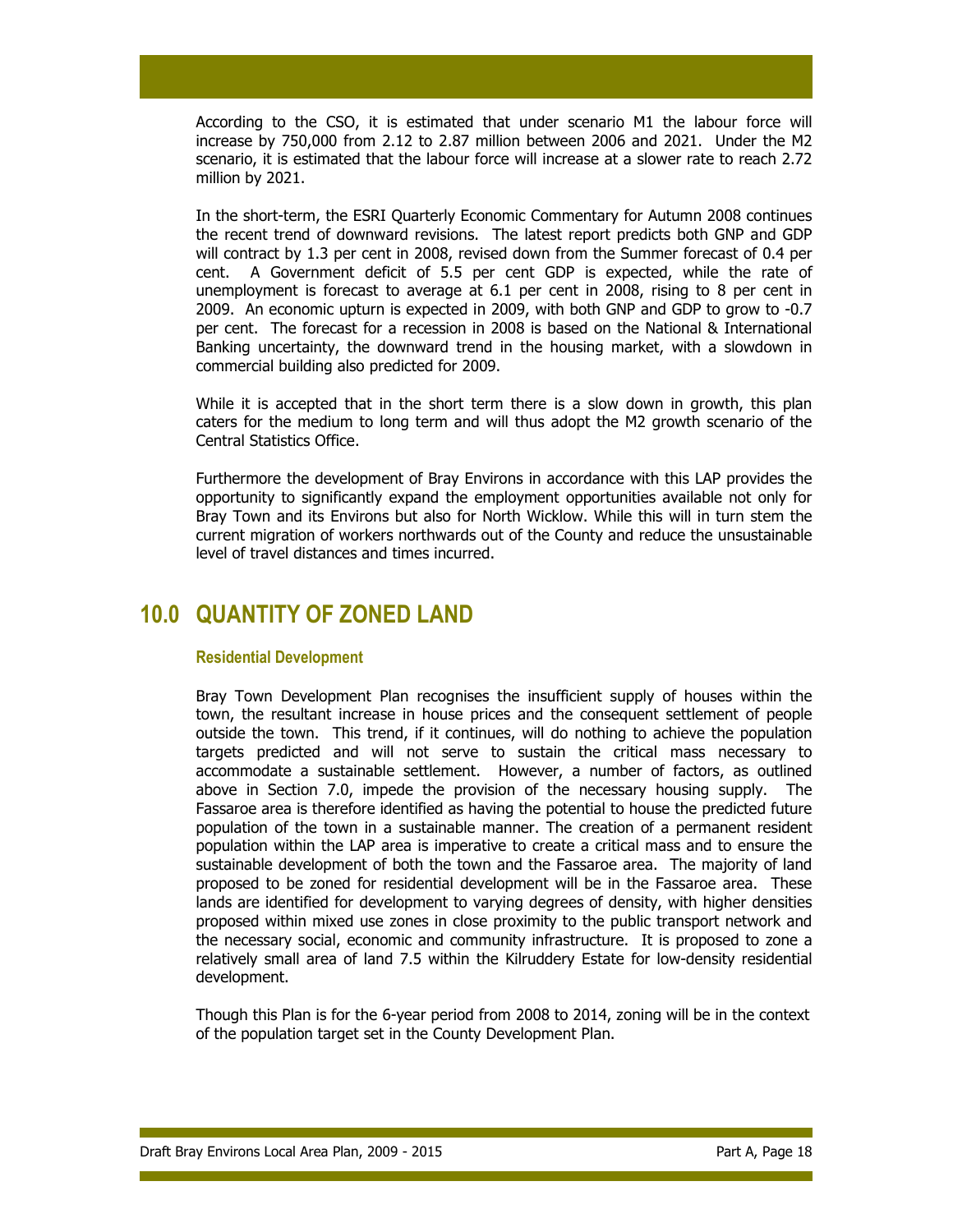According to the CSO, it is estimated that under scenario M1 the labour force will increase by 750,000 from 2.12 to 2.87 million between 2006 and 2021. Under the M2 scenario, it is estimated that the labour force will increase at a slower rate to reach 2.72 million by 2021.

In the short-term, the ESRI Quarterly Economic Commentary for Autumn 2008 continues the recent trend of downward revisions. The latest report predicts both GNP and GDP will contract by 1.3 per cent in 2008, revised down from the Summer forecast of 0.4 per cent. A Government deficit of 5.5 per cent GDP is expected, while the rate of unemployment is forecast to average at 6.1 per cent in 2008, rising to 8 per cent in 2009. An economic upturn is expected in 2009, with both GNP and GDP to grow to -0.7 per cent. The forecast for a recession in 2008 is based on the National & International Banking uncertainty, the downward trend in the housing market, with a slowdown in commercial building also predicted for 2009.

While it is accepted that in the short term there is a slow down in growth, this plan caters for the medium to long term and will thus adopt the M2 growth scenario of the Central Statistics Office.

Furthermore the development of Bray Environs in accordance with this LAP provides the opportunity to significantly expand the employment opportunities available not only for Bray Town and its Environs but also for North Wicklow. While this will in turn stem the current migration of workers northwards out of the County and reduce the unsustainable level of travel distances and times incurred.

# 10.0 QUANTITY OF ZONED LAND

## Residential Development

Bray Town Development Plan recognises the insufficient supply of houses within the town, the resultant increase in house prices and the consequent settlement of people outside the town. This trend, if it continues, will do nothing to achieve the population targets predicted and will not serve to sustain the critical mass necessary to accommodate a sustainable settlement. However, a number of factors, as outlined above in Section 7.0, impede the provision of the necessary housing supply. The Fassaroe area is therefore identified as having the potential to house the predicted future population of the town in a sustainable manner. The creation of a permanent resident population within the LAP area is imperative to create a critical mass and to ensure the sustainable development of both the town and the Fassaroe area. The majority of land proposed to be zoned for residential development will be in the Fassaroe area. These lands are identified for development to varying degrees of density, with higher densities proposed within mixed use zones in close proximity to the public transport network and the necessary social, economic and community infrastructure. It is proposed to zone a relatively small area of land 7.5 within the Kilruddery Estate for low-density residential development.

Though this Plan is for the 6-year period from 2008 to 2014, zoning will be in the context of the population target set in the County Development Plan.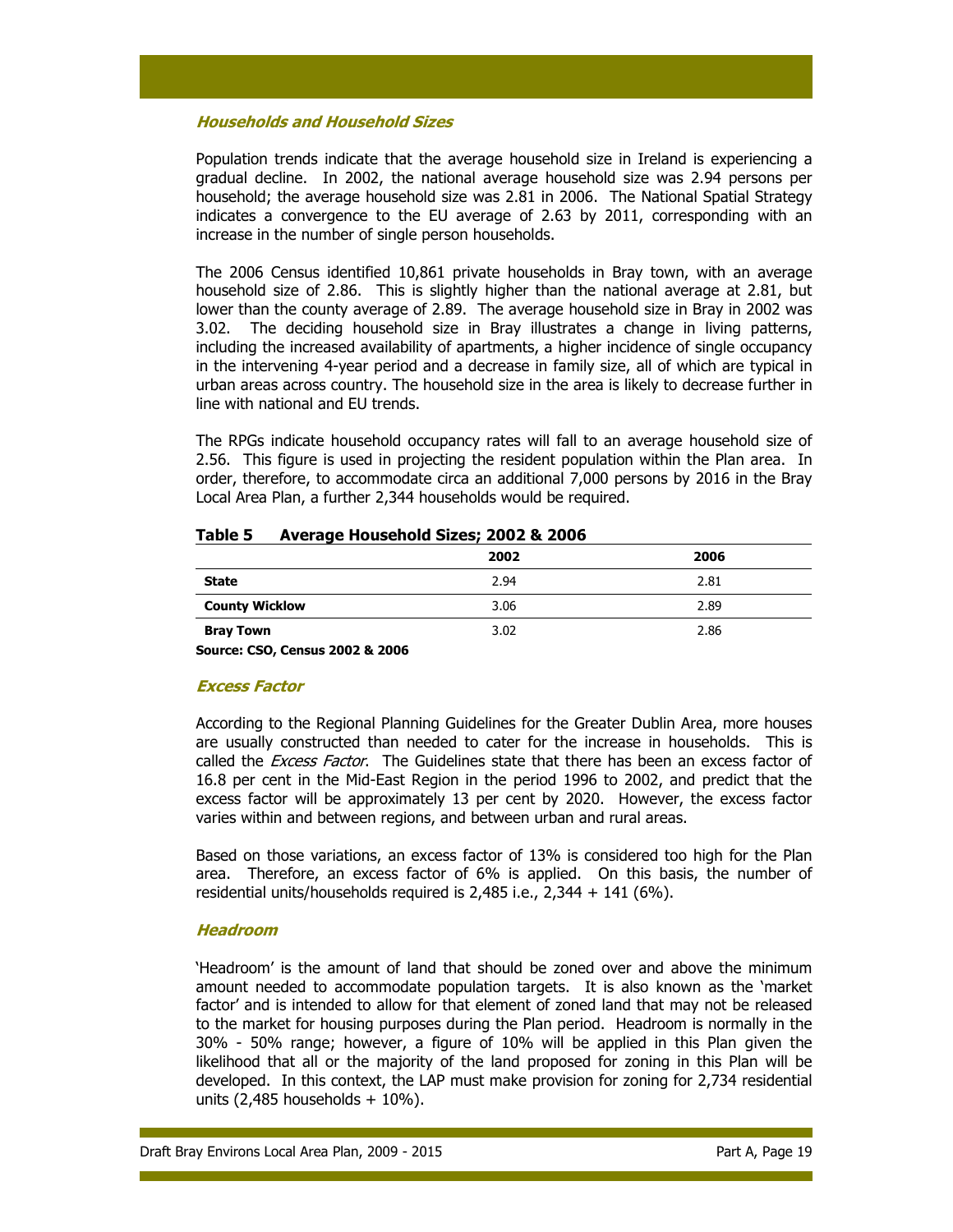### Households and Household Sizes

Population trends indicate that the average household size in Ireland is experiencing a gradual decline. In 2002, the national average household size was 2.94 persons per household; the average household size was 2.81 in 2006. The National Spatial Strategy indicates a convergence to the EU average of 2.63 by 2011, corresponding with an increase in the number of single person households.

The 2006 Census identified 10,861 private households in Bray town, with an average household size of 2.86. This is slightly higher than the national average at 2.81, but lower than the county average of 2.89. The average household size in Bray in 2002 was 3.02. The deciding household size in Bray illustrates a change in living patterns, including the increased availability of apartments, a higher incidence of single occupancy in the intervening 4-year period and a decrease in family size, all of which are typical in urban areas across country. The household size in the area is likely to decrease further in line with national and EU trends.

The RPGs indicate household occupancy rates will fall to an average household size of 2.56. This figure is used in projecting the resident population within the Plan area. In order, therefore, to accommodate circa an additional 7,000 persons by 2016 in the Bray Local Area Plan, a further 2,344 households would be required.

## Table 5 Average Household Sizes; 2002 & 2006

|                       | 2002 | 2006 |
|-----------------------|------|------|
| <b>State</b>          | 2.94 | 2.81 |
| <b>County Wicklow</b> | 3.06 | 2.89 |
| <b>Bray Town</b>      | 3.02 | 2.86 |

Source: CSO, Census 2002 & 2006

### Excess Factor

According to the Regional Planning Guidelines for the Greater Dublin Area, more houses are usually constructed than needed to cater for the increase in households. This is called the *Excess Factor*. The Guidelines state that there has been an excess factor of 16.8 per cent in the Mid-East Region in the period 1996 to 2002, and predict that the excess factor will be approximately 13 per cent by 2020. However, the excess factor varies within and between regions, and between urban and rural areas.

Based on those variations, an excess factor of 13% is considered too high for the Plan area. Therefore, an excess factor of 6% is applied. On this basis, the number of residential units/households required is 2,485 i.e., 2,344 + 141 (6%).

### Headroom

'Headroom' is the amount of land that should be zoned over and above the minimum amount needed to accommodate population targets. It is also known as the 'market factor' and is intended to allow for that element of zoned land that may not be released to the market for housing purposes during the Plan period. Headroom is normally in the 30% - 50% range; however, a figure of 10% will be applied in this Plan given the likelihood that all or the majority of the land proposed for zoning in this Plan will be developed. In this context, the LAP must make provision for zoning for 2,734 residential units  $(2,485$  households  $+10\%$ ).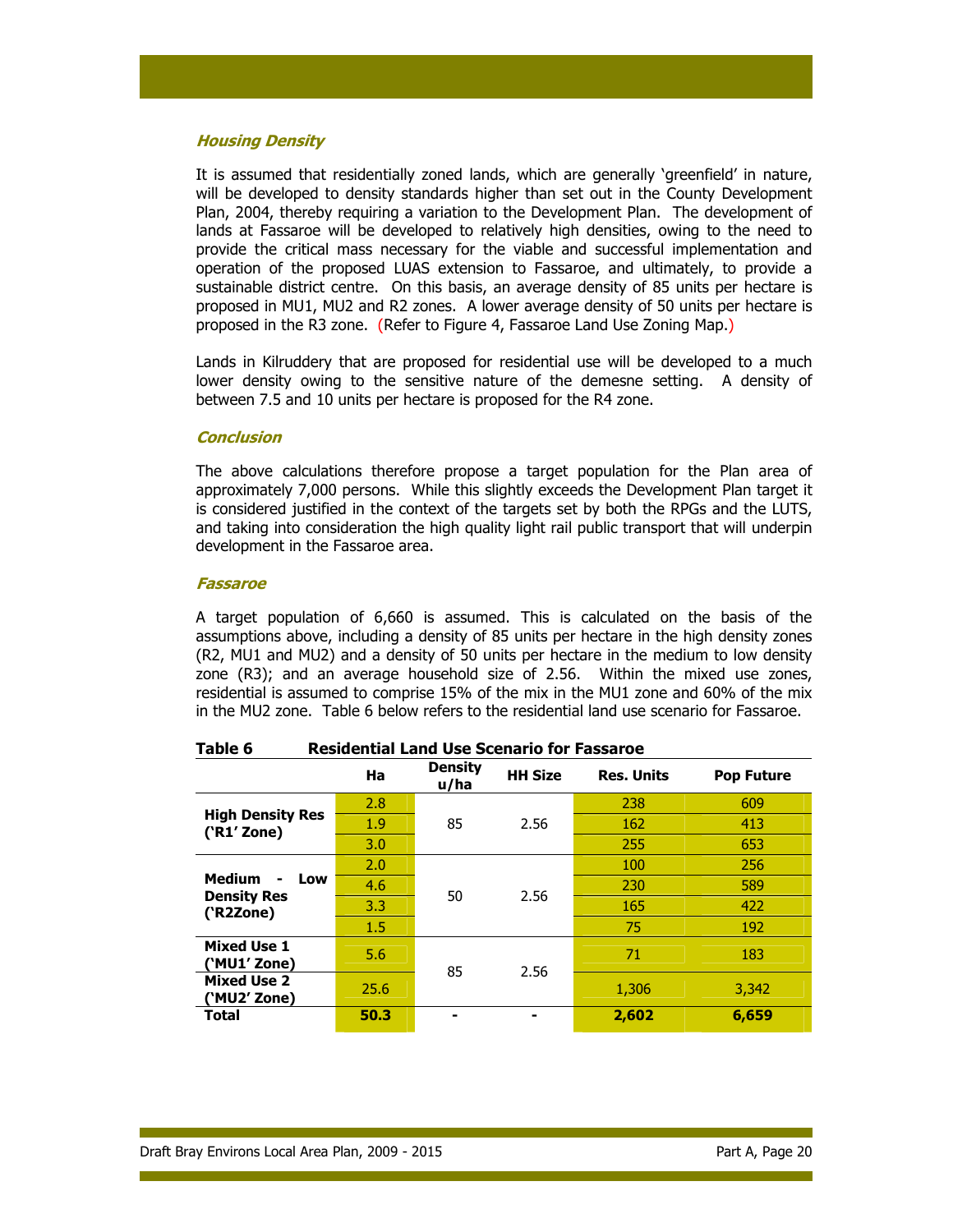### Housing Density

It is assumed that residentially zoned lands, which are generally 'greenfield' in nature, will be developed to density standards higher than set out in the County Development Plan, 2004, thereby requiring a variation to the Development Plan. The development of lands at Fassaroe will be developed to relatively high densities, owing to the need to provide the critical mass necessary for the viable and successful implementation and operation of the proposed LUAS extension to Fassaroe, and ultimately, to provide a sustainable district centre. On this basis, an average density of 85 units per hectare is proposed in MU1, MU2 and R2 zones. A lower average density of 50 units per hectare is proposed in the R3 zone. (Refer to Figure 4, Fassaroe Land Use Zoning Map.)

Lands in Kilruddery that are proposed for residential use will be developed to a much lower density owing to the sensitive nature of the demesne setting. A density of between 7.5 and 10 units per hectare is proposed for the R4 zone.

### **Conclusion**

The above calculations therefore propose a target population for the Plan area of approximately 7,000 persons. While this slightly exceeds the Development Plan target it is considered justified in the context of the targets set by both the RPGs and the LUTS, and taking into consideration the high quality light rail public transport that will underpin development in the Fassaroe area.

#### Fassaroe

A target population of 6,660 is assumed. This is calculated on the basis of the assumptions above, including a density of 85 units per hectare in the high density zones (R2, MU1 and MU2) and a density of 50 units per hectare in the medium to low density zone (R3); and an average household size of 2.56. Within the mixed use zones, residential is assumed to comprise 15% of the mix in the MU1 zone and 60% of the mix in the MU2 zone. Table 6 below refers to the residential land use scenario for Fassaroe.

|                                                 | Ha   | <b>Density</b><br>u/ha | <b>HH Size</b> | <b>Res. Units</b> | <b>Pop Future</b> |
|-------------------------------------------------|------|------------------------|----------------|-------------------|-------------------|
|                                                 | 2.8  | 85                     | 2.56           | 238               | 609               |
| <b>High Density Res</b><br>('R1' Zone)          | 1.9  |                        |                | 162               | 413               |
|                                                 | 3.0  |                        |                | 255               | 653               |
|                                                 | 2.0  | 50                     | 2.56           | 100               | 256               |
| <b>Medium</b><br>Low<br>۰<br><b>Density Res</b> | 4.6  |                        |                | 230               | 589               |
| ('R2Zone)                                       | 3.3  |                        |                | 165               | 422               |
|                                                 | 1.5  |                        |                | 75                | 192               |
| <b>Mixed Use 1</b><br>('MU1' Zone)              | 5.6  | 85                     | 2.56           | 71                | 183               |
| <b>Mixed Use 2</b><br>('MU2' Zone)              | 25.6 |                        |                | 1,306             | 3,342             |
| Total                                           | 50.3 |                        | ۰              | 2,602             | 6,659             |

### Table 6 Residential Land Use Scenario for Fassaroe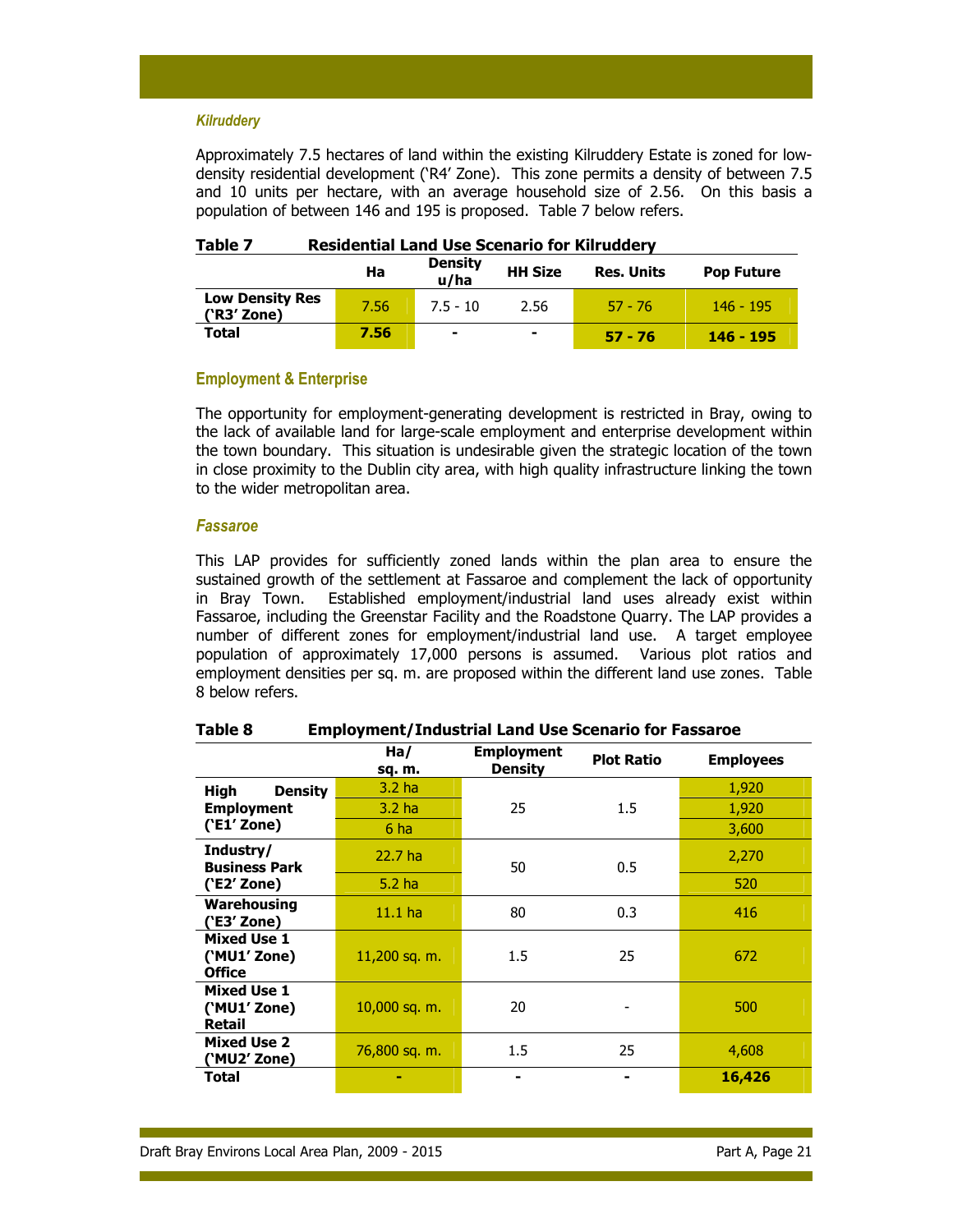#### **Kilruddery**

Approximately 7.5 hectares of land within the existing Kilruddery Estate is zoned for lowdensity residential development ('R4' Zone). This zone permits a density of between 7.5 and 10 units per hectare, with an average household size of 2.56. On this basis a population of between 146 and 195 is proposed. Table 7 below refers.

|                                       | Ha   | <b>Density</b><br>u/ha | <b>HH Size</b> | <b>Res. Units</b> | <b>Pop Future</b> |
|---------------------------------------|------|------------------------|----------------|-------------------|-------------------|
| <b>Low Density Res</b><br>('R3' Zone) | 7.56 | $7.5 - 10$             | 2.56           | $57 - 76$         | $146 - 195$       |
| <b>Total</b>                          | 7.56 |                        | ۰              | $57 - 76$         | 146 - 195         |

## Table 7 Residential Land Use Scenario for Kilruddery

### Employment & Enterprise

The opportunity for employment-generating development is restricted in Bray, owing to the lack of available land for large-scale employment and enterprise development within the town boundary. This situation is undesirable given the strategic location of the town in close proximity to the Dublin city area, with high quality infrastructure linking the town to the wider metropolitan area.

#### Fassaroe

This LAP provides for sufficiently zoned lands within the plan area to ensure the sustained growth of the settlement at Fassaroe and complement the lack of opportunity in Bray Town. Established employment/industrial land uses already exist within Fassaroe, including the Greenstar Facility and the Roadstone Quarry. The LAP provides a number of different zones for employment/industrial land use. A target employee population of approximately 17,000 persons is assumed. Various plot ratios and employment densities per sq. m. are proposed within the different land use zones. Table 8 below refers.

|                                                     | Ha/<br>sq. m.     | <b>Employment</b><br><b>Density</b> | <b>Plot Ratio</b> | <b>Employees</b> |
|-----------------------------------------------------|-------------------|-------------------------------------|-------------------|------------------|
| High<br><b>Density</b>                              | 3.2 <sub>ha</sub> |                                     |                   | 1,920            |
| <b>Employment</b>                                   | 3.2 ha            | 25                                  | $1.5\,$           | 1,920            |
| ('E1' Zone)                                         | 6 ha              |                                     |                   | 3,600            |
| Industry/<br><b>Business Park</b>                   | 22.7 ha           | 50                                  | 0.5               | 2,270            |
| ('E2' Zone)                                         | 5.2 <sub>ha</sub> |                                     |                   | 520              |
| Warehousing<br>('E3' Zone)                          | $11.1$ ha         | 80                                  | 0.3               | 416              |
| <b>Mixed Use 1</b><br>('MU1' Zone)<br><b>Office</b> | 11,200 sq. m.     | 1.5                                 | 25                | 672              |
| <b>Mixed Use 1</b><br>('MU1' Zone)<br><b>Retail</b> | 10,000 sq. m.     | 20                                  |                   | 500              |
| <b>Mixed Use 2</b><br>('MU2' Zone)                  | 76,800 sq. m.     | 1.5                                 | 25                | 4,608            |
| Total                                               |                   |                                     | $\blacksquare$    | 16,426           |

Table 8 Employment/Industrial Land Use Scenario for Fassaroe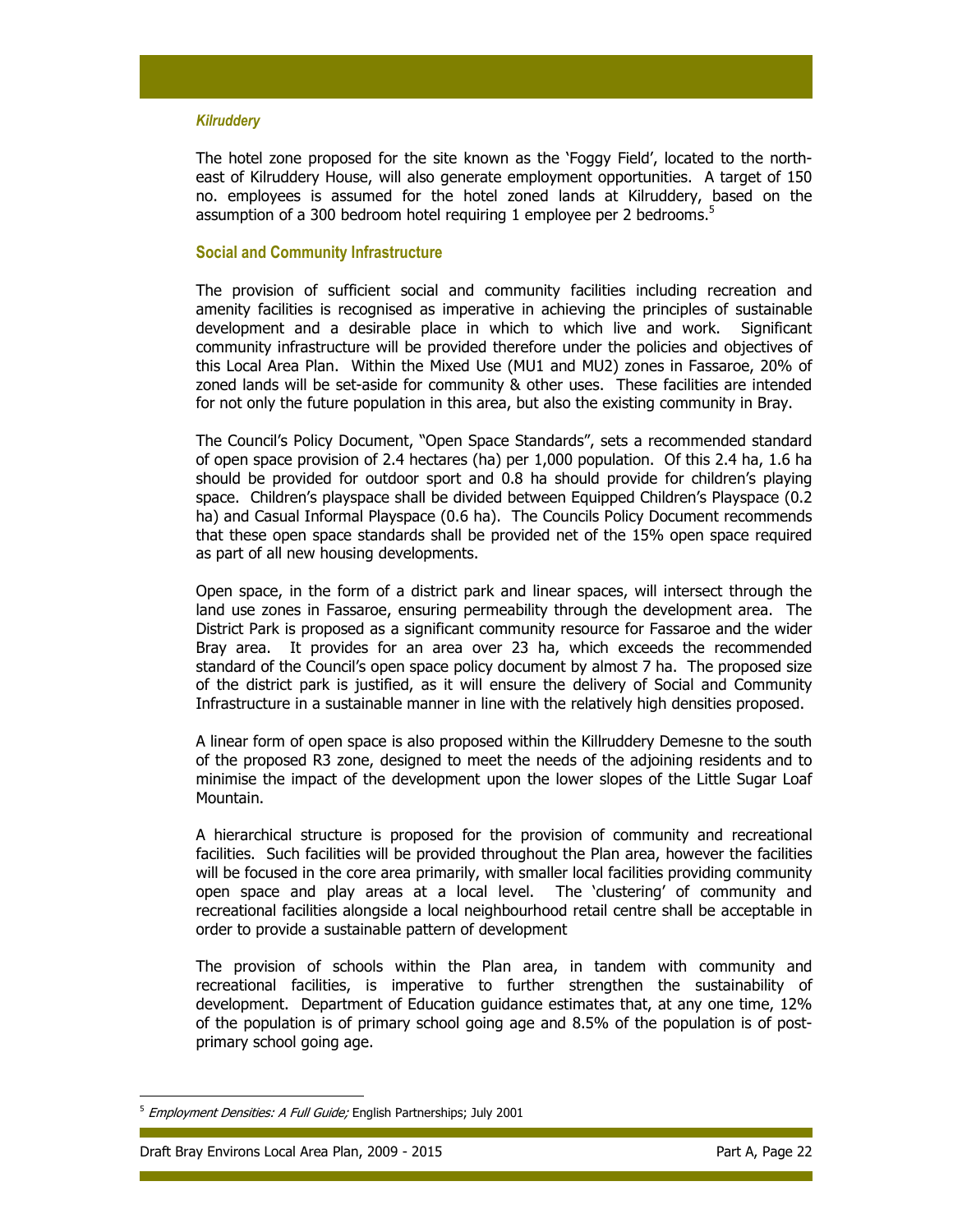#### **Kilruddery**

The hotel zone proposed for the site known as the 'Foggy Field', located to the northeast of Kilruddery House, will also generate employment opportunities. A target of 150 no. employees is assumed for the hotel zoned lands at Kilruddery, based on the assumption of a 300 bedroom hotel requiring 1 employee per 2 bedrooms.<sup>5</sup>

#### Social and Community Infrastructure

The provision of sufficient social and community facilities including recreation and amenity facilities is recognised as imperative in achieving the principles of sustainable development and a desirable place in which to which live and work. Significant community infrastructure will be provided therefore under the policies and objectives of this Local Area Plan. Within the Mixed Use (MU1 and MU2) zones in Fassaroe, 20% of zoned lands will be set-aside for community & other uses. These facilities are intended for not only the future population in this area, but also the existing community in Bray.

The Council's Policy Document, "Open Space Standards", sets a recommended standard of open space provision of 2.4 hectares (ha) per 1,000 population. Of this 2.4 ha, 1.6 ha should be provided for outdoor sport and 0.8 ha should provide for children's playing space. Children's playspace shall be divided between Equipped Children's Playspace (0.2 ha) and Casual Informal Playspace (0.6 ha). The Councils Policy Document recommends that these open space standards shall be provided net of the 15% open space required as part of all new housing developments.

Open space, in the form of a district park and linear spaces, will intersect through the land use zones in Fassaroe, ensuring permeability through the development area. The District Park is proposed as a significant community resource for Fassaroe and the wider Bray area. It provides for an area over 23 ha, which exceeds the recommended standard of the Council's open space policy document by almost 7 ha. The proposed size of the district park is justified, as it will ensure the delivery of Social and Community Infrastructure in a sustainable manner in line with the relatively high densities proposed.

A linear form of open space is also proposed within the Killruddery Demesne to the south of the proposed R3 zone, designed to meet the needs of the adjoining residents and to minimise the impact of the development upon the lower slopes of the Little Sugar Loaf Mountain.

A hierarchical structure is proposed for the provision of community and recreational facilities. Such facilities will be provided throughout the Plan area, however the facilities will be focused in the core area primarily, with smaller local facilities providing community open space and play areas at a local level. The 'clustering' of community and recreational facilities alongside a local neighbourhood retail centre shall be acceptable in order to provide a sustainable pattern of development

The provision of schools within the Plan area, in tandem with community and recreational facilities, is imperative to further strengthen the sustainability of development. Department of Education guidance estimates that, at any one time, 12% of the population is of primary school going age and 8.5% of the population is of postprimary school going age.

 $5$  Employment Densities: A Full Guide; English Partnerships; July 2001

Draft Bray Environs Local Area Plan, 2009 - 2015 **Part A, Page 22** Part A, Page 22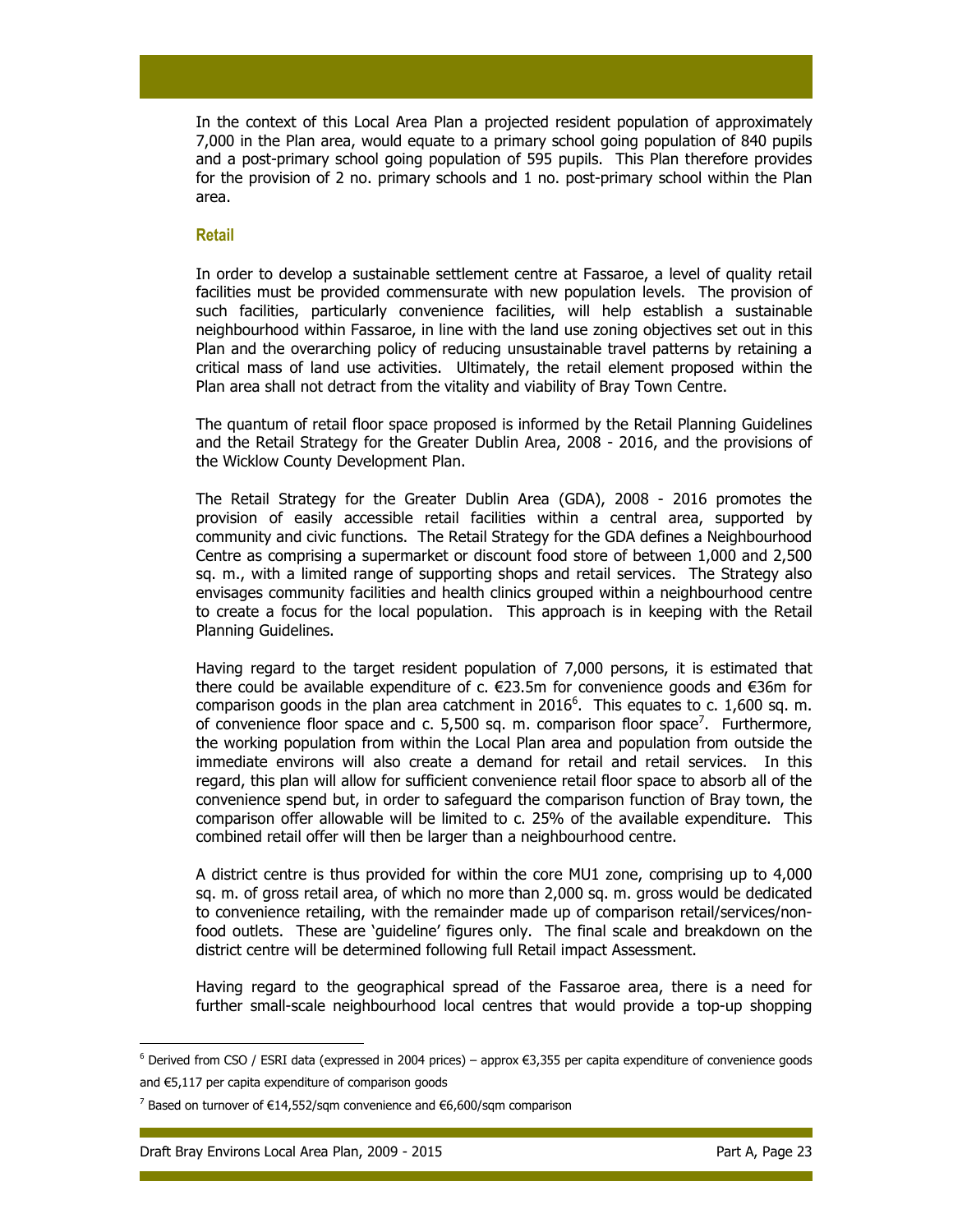In the context of this Local Area Plan a projected resident population of approximately 7,000 in the Plan area, would equate to a primary school going population of 840 pupils and a post-primary school going population of 595 pupils. This Plan therefore provides for the provision of 2 no. primary schools and 1 no. post-primary school within the Plan area.

#### Retail

In order to develop a sustainable settlement centre at Fassaroe, a level of quality retail facilities must be provided commensurate with new population levels. The provision of such facilities, particularly convenience facilities, will help establish a sustainable neighbourhood within Fassaroe, in line with the land use zoning objectives set out in this Plan and the overarching policy of reducing unsustainable travel patterns by retaining a critical mass of land use activities. Ultimately, the retail element proposed within the Plan area shall not detract from the vitality and viability of Bray Town Centre.

The quantum of retail floor space proposed is informed by the Retail Planning Guidelines and the Retail Strategy for the Greater Dublin Area, 2008 - 2016, and the provisions of the Wicklow County Development Plan.

The Retail Strategy for the Greater Dublin Area (GDA), 2008 - 2016 promotes the provision of easily accessible retail facilities within a central area, supported by community and civic functions. The Retail Strategy for the GDA defines a Neighbourhood Centre as comprising a supermarket or discount food store of between 1,000 and 2,500 sq. m., with a limited range of supporting shops and retail services. The Strategy also envisages community facilities and health clinics grouped within a neighbourhood centre to create a focus for the local population. This approach is in keeping with the Retail Planning Guidelines.

Having regard to the target resident population of 7,000 persons, it is estimated that there could be available expenditure of c. €23.5m for convenience goods and €36m for comparison goods in the plan area catchment in  $2016^6$ . This equates to c. 1,600 sq. m. of convenience floor space and c. 5,500 sq. m. comparison floor space<sup>7</sup>. Furthermore, the working population from within the Local Plan area and population from outside the immediate environs will also create a demand for retail and retail services. In this regard, this plan will allow for sufficient convenience retail floor space to absorb all of the convenience spend but, in order to safeguard the comparison function of Bray town, the comparison offer allowable will be limited to c. 25% of the available expenditure. This combined retail offer will then be larger than a neighbourhood centre.

A district centre is thus provided for within the core MU1 zone, comprising up to 4,000 sq. m. of gross retail area, of which no more than 2,000 sq. m. gross would be dedicated to convenience retailing, with the remainder made up of comparison retail/services/nonfood outlets. These are 'guideline' figures only. The final scale and breakdown on the district centre will be determined following full Retail impact Assessment.

Having regard to the geographical spread of the Fassaroe area, there is a need for further small-scale neighbourhood local centres that would provide a top-up shopping

<sup>6</sup> Derived from CSO / ESRI data (expressed in 2004 prices) – approx €3,355 per capita expenditure of convenience goods and €5,117 per capita expenditure of comparison goods

<sup>&</sup>lt;sup>7</sup> Based on turnover of €14,552/sqm convenience and €6,600/sqm comparison